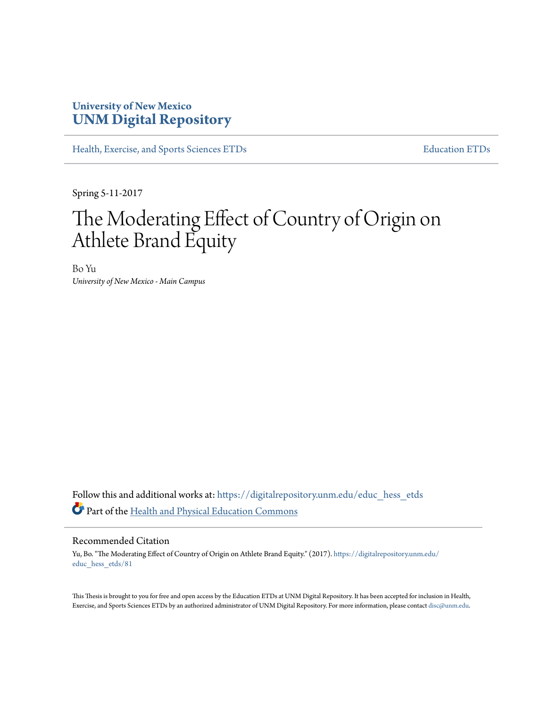# **University of New Mexico [UNM Digital Repository](https://digitalrepository.unm.edu?utm_source=digitalrepository.unm.edu%2Feduc_hess_etds%2F81&utm_medium=PDF&utm_campaign=PDFCoverPages)**

[Health, Exercise, and Sports Sciences ETDs](https://digitalrepository.unm.edu/educ_hess_etds?utm_source=digitalrepository.unm.edu%2Feduc_hess_etds%2F81&utm_medium=PDF&utm_campaign=PDFCoverPages) [Education ETDs](https://digitalrepository.unm.edu/educ_etds?utm_source=digitalrepository.unm.edu%2Feduc_hess_etds%2F81&utm_medium=PDF&utm_campaign=PDFCoverPages)

Spring 5-11-2017

# The Moderating Effect of Country of Origin on Athlete Brand Equity

Bo Yu *University of New Mexico - Main Campus*

Follow this and additional works at: [https://digitalrepository.unm.edu/educ\\_hess\\_etds](https://digitalrepository.unm.edu/educ_hess_etds?utm_source=digitalrepository.unm.edu%2Feduc_hess_etds%2F81&utm_medium=PDF&utm_campaign=PDFCoverPages) Part of the [Health and Physical Education Commons](http://network.bepress.com/hgg/discipline/1327?utm_source=digitalrepository.unm.edu%2Feduc_hess_etds%2F81&utm_medium=PDF&utm_campaign=PDFCoverPages)

#### Recommended Citation

Yu, Bo. "The Moderating Effect of Country of Origin on Athlete Brand Equity." (2017). [https://digitalrepository.unm.edu/](https://digitalrepository.unm.edu/educ_hess_etds/81?utm_source=digitalrepository.unm.edu%2Feduc_hess_etds%2F81&utm_medium=PDF&utm_campaign=PDFCoverPages) [educ\\_hess\\_etds/81](https://digitalrepository.unm.edu/educ_hess_etds/81?utm_source=digitalrepository.unm.edu%2Feduc_hess_etds%2F81&utm_medium=PDF&utm_campaign=PDFCoverPages)

This Thesis is brought to you for free and open access by the Education ETDs at UNM Digital Repository. It has been accepted for inclusion in Health, Exercise, and Sports Sciences ETDs by an authorized administrator of UNM Digital Repository. For more information, please contact [disc@unm.edu.](mailto:disc@unm.edu)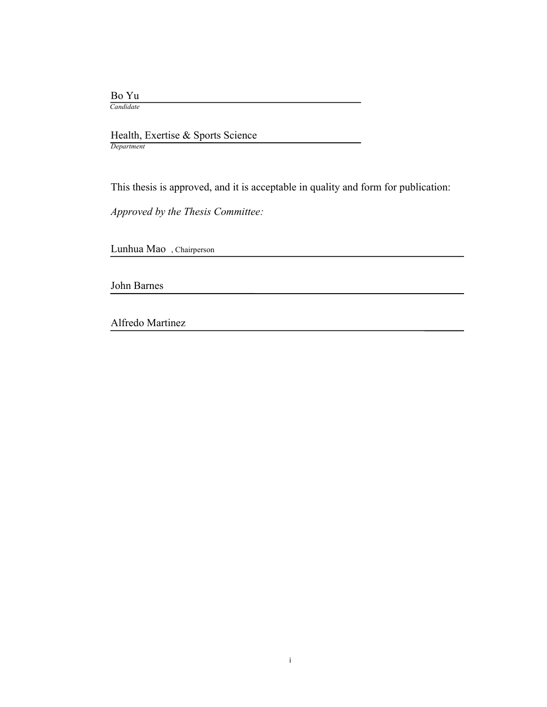Bo Yu

 *Candidate*

 Health, Exertise & Sports Science *Department*

This thesis is approved, and it is acceptable in quality and form for publication:

*Approved by the Thesis Committee:*

Lunhua Mao , Chairperson

John Barnes

Alfredo Martinez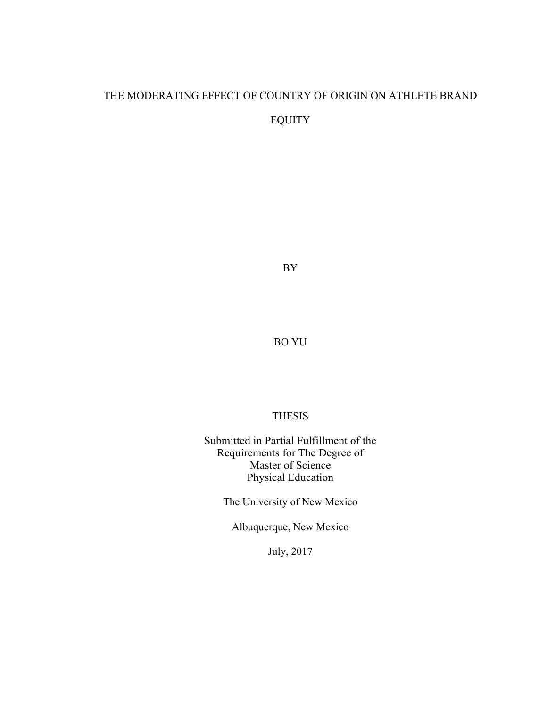# THE MODERATING EFFECT OF COUNTRY OF ORIGIN ON ATHLETE BRAND EQUITY

BY

BO YU

# THESIS

Submitted in Partial Fulfillment of the Requirements for The Degree of Master of Science Physical Education

The University of New Mexico

Albuquerque, New Mexico

July, 2017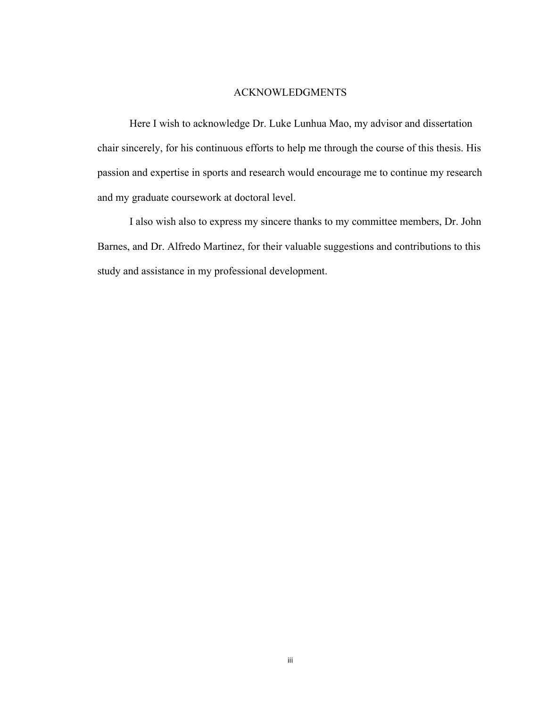#### ACKNOWLEDGMENTS

Here I wish to acknowledge Dr. Luke Lunhua Mao, my advisor and dissertation chair sincerely, for his continuous efforts to help me through the course of this thesis. His passion and expertise in sports and research would encourage me to continue my research and my graduate coursework at doctoral level.

I also wish also to express my sincere thanks to my committee members, Dr. John Barnes, and Dr. Alfredo Martinez, for their valuable suggestions and contributions to this study and assistance in my professional development.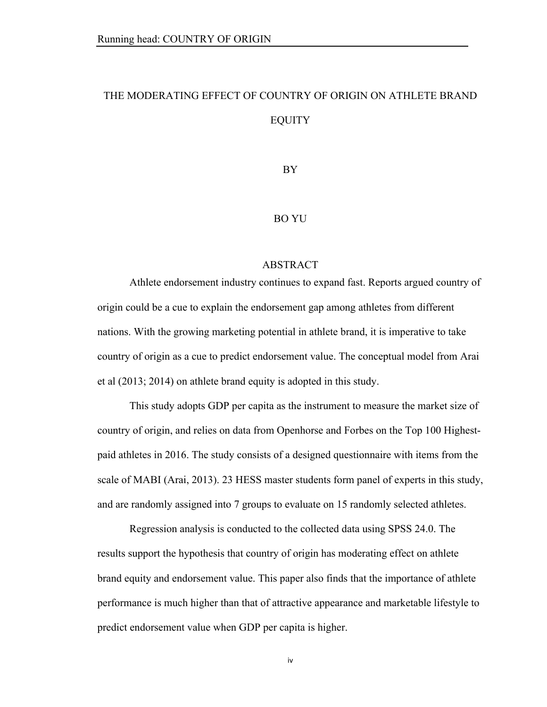# THE MODERATING EFFECT OF COUNTRY OF ORIGIN ON ATHLETE BRAND EQUITY

BY

### BO YU

# ABSTRACT

Athlete endorsement industry continues to expand fast. Reports argued country of origin could be a cue to explain the endorsement gap among athletes from different nations. With the growing marketing potential in athlete brand, it is imperative to take country of origin as a cue to predict endorsement value. The conceptual model from Arai et al (2013; 2014) on athlete brand equity is adopted in this study.

This study adopts GDP per capita as the instrument to measure the market size of country of origin, and relies on data from Openhorse and Forbes on the Top 100 Highestpaid athletes in 2016. The study consists of a designed questionnaire with items from the scale of MABI (Arai, 2013). 23 HESS master students form panel of experts in this study, and are randomly assigned into 7 groups to evaluate on 15 randomly selected athletes.

Regression analysis is conducted to the collected data using SPSS 24.0. The results support the hypothesis that country of origin has moderating effect on athlete brand equity and endorsement value. This paper also finds that the importance of athlete performance is much higher than that of attractive appearance and marketable lifestyle to predict endorsement value when GDP per capita is higher.

iv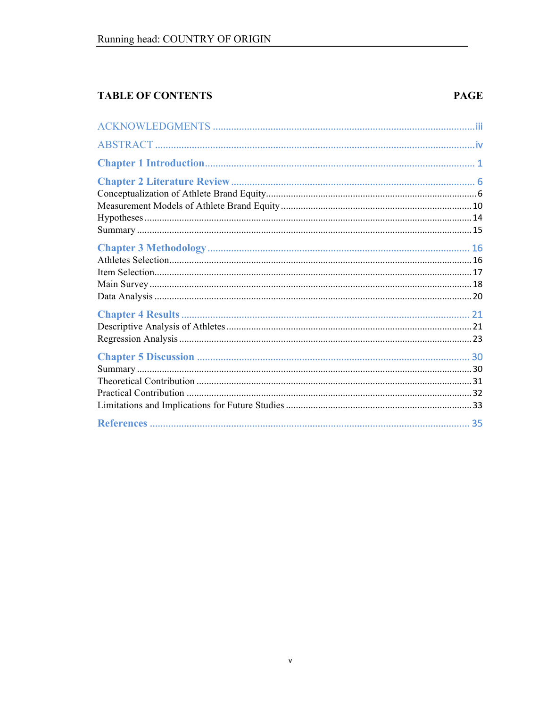# **TABLE OF CONTENTS**

# **PAGE**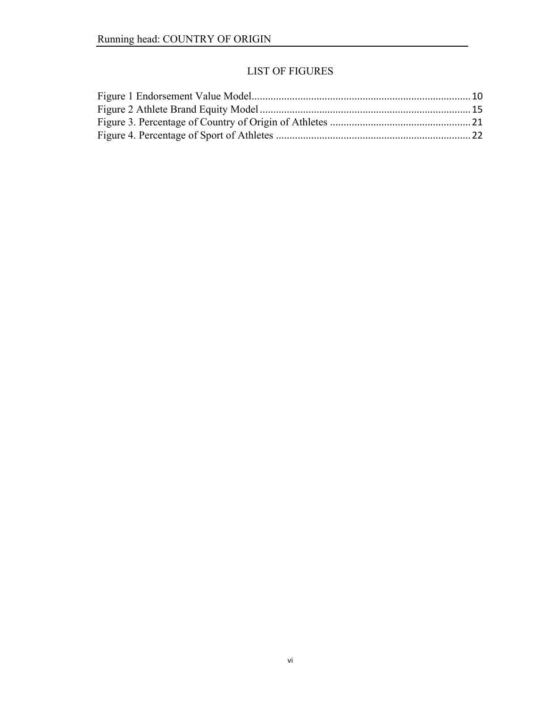# LIST OF FIGURES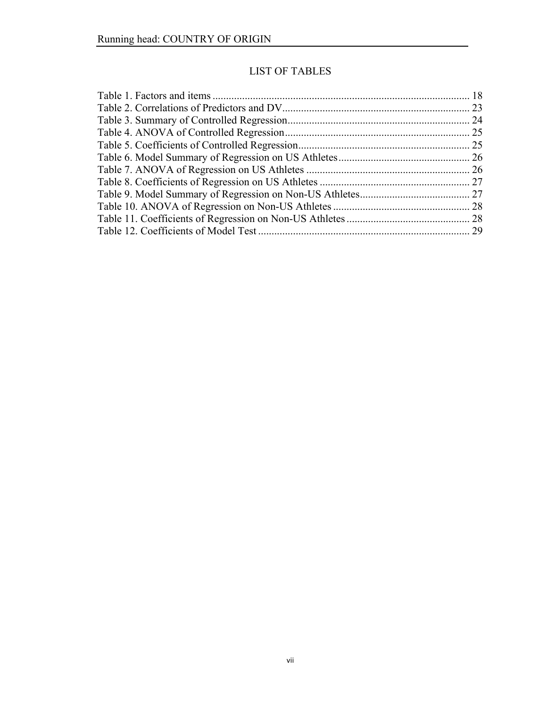# LIST OF TABLES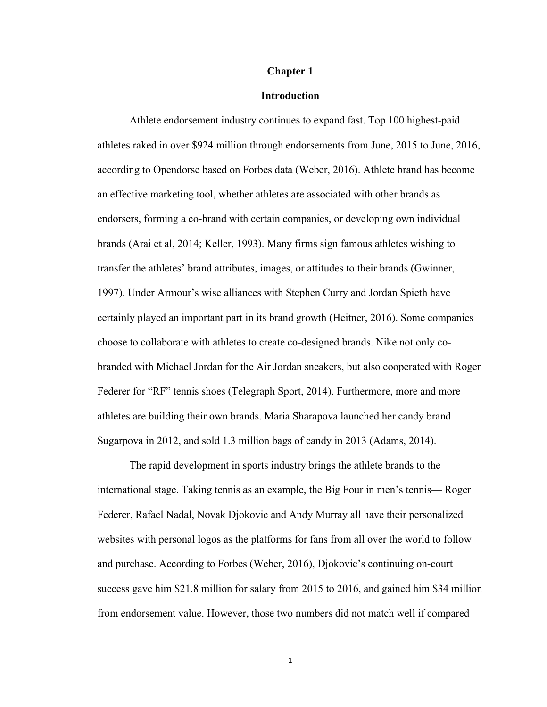## **Chapter 1**

#### **Introduction**

Athlete endorsement industry continues to expand fast. Top 100 highest-paid athletes raked in over \$924 million through endorsements from June, 2015 to June, 2016, according to Opendorse based on Forbes data (Weber, 2016). Athlete brand has become an effective marketing tool, whether athletes are associated with other brands as endorsers, forming a co-brand with certain companies, or developing own individual brands (Arai et al, 2014; Keller, 1993). Many firms sign famous athletes wishing to transfer the athletes' brand attributes, images, or attitudes to their brands (Gwinner, 1997). Under Armour's wise alliances with Stephen Curry and Jordan Spieth have certainly played an important part in its brand growth (Heitner, 2016). Some companies choose to collaborate with athletes to create co-designed brands. Nike not only cobranded with Michael Jordan for the Air Jordan sneakers, but also cooperated with Roger Federer for "RF" tennis shoes (Telegraph Sport, 2014). Furthermore, more and more athletes are building their own brands. Maria Sharapova launched her candy brand Sugarpova in 2012, and sold 1.3 million bags of candy in 2013 (Adams, 2014).

The rapid development in sports industry brings the athlete brands to the international stage. Taking tennis as an example, the Big Four in men's tennis— Roger Federer, Rafael Nadal, Novak Djokovic and Andy Murray all have their personalized websites with personal logos as the platforms for fans from all over the world to follow and purchase. According to Forbes (Weber, 2016), Djokovic's continuing on-court success gave him \$21.8 million for salary from 2015 to 2016, and gained him \$34 million from endorsement value. However, those two numbers did not match well if compared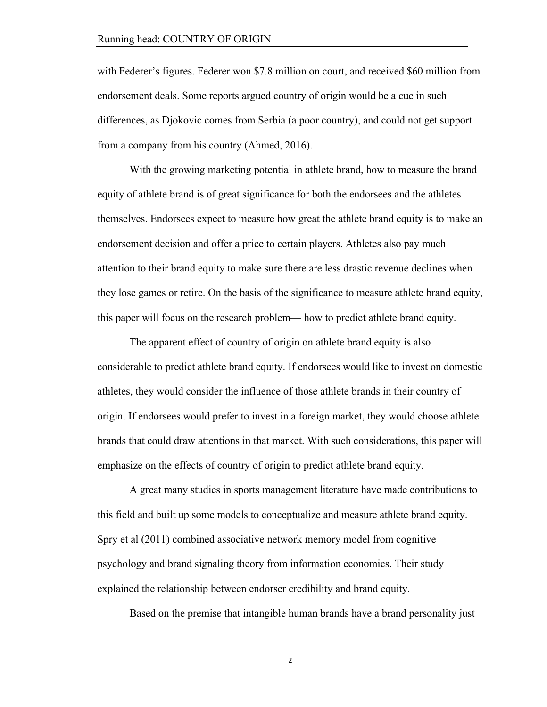with Federer's figures. Federer won \$7.8 million on court, and received \$60 million from endorsement deals. Some reports argued country of origin would be a cue in such differences, as Djokovic comes from Serbia (a poor country), and could not get support from a company from his country (Ahmed, 2016).

With the growing marketing potential in athlete brand, how to measure the brand equity of athlete brand is of great significance for both the endorsees and the athletes themselves. Endorsees expect to measure how great the athlete brand equity is to make an endorsement decision and offer a price to certain players. Athletes also pay much attention to their brand equity to make sure there are less drastic revenue declines when they lose games or retire. On the basis of the significance to measure athlete brand equity, this paper will focus on the research problem— how to predict athlete brand equity.

The apparent effect of country of origin on athlete brand equity is also considerable to predict athlete brand equity. If endorsees would like to invest on domestic athletes, they would consider the influence of those athlete brands in their country of origin. If endorsees would prefer to invest in a foreign market, they would choose athlete brands that could draw attentions in that market. With such considerations, this paper will emphasize on the effects of country of origin to predict athlete brand equity.

A great many studies in sports management literature have made contributions to this field and built up some models to conceptualize and measure athlete brand equity. Spry et al (2011) combined associative network memory model from cognitive psychology and brand signaling theory from information economics. Their study explained the relationship between endorser credibility and brand equity.

Based on the premise that intangible human brands have a brand personality just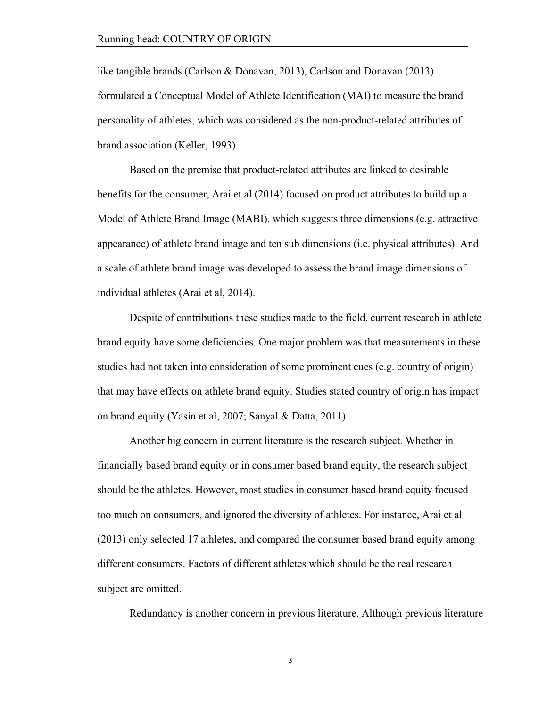like tangible brands (Carlson & Donavan, 2013), Carlson and Donavan (2013) formulated a Conceptual Model of Athlete Identification (MAI) to measure the brand personality of athletes, which was considered as the non-product-related attributes of brand association (Keller, 1993).

Based on the premise that product-related attributes are linked to desirable benefits for the consumer, Arai et al (2014) focused on product attributes to build up a Model of Athlete Brand Image (MABI), which suggests three dimensions (e.g. attractive appearance) of athlete brand image and ten sub dimensions (i.e. physical attributes). And a scale of athlete brand image was developed to assess the brand image dimensions of individual athletes (Arai et al, 2014).

Despite of contributions these studies made to the field, current research in athlete brand equity have some deficiencies. One major problem was that measurements in these studies had not taken into consideration of some prominent cues (e.g. country of origin) that may have effects on athlete brand equity. Studies stated country of origin has impact on brand equity (Yasin et al, 2007; Sanyal & Datta, 2011).

Another big concern in current literature is the research subject. Whether in financially based brand equity or in consumer based brand equity, the research subject should be the athletes. However, most studies in consumer based brand equity focused too much on consumers, and ignored the diversity of athletes. For instance, Arai et al (2013) only selected 17 athletes, and compared the consumer based brand equity among different consumers. Factors of different athletes which should be the real research subject are omitted.

Redundancy is another concern in previous literature. Although previous literature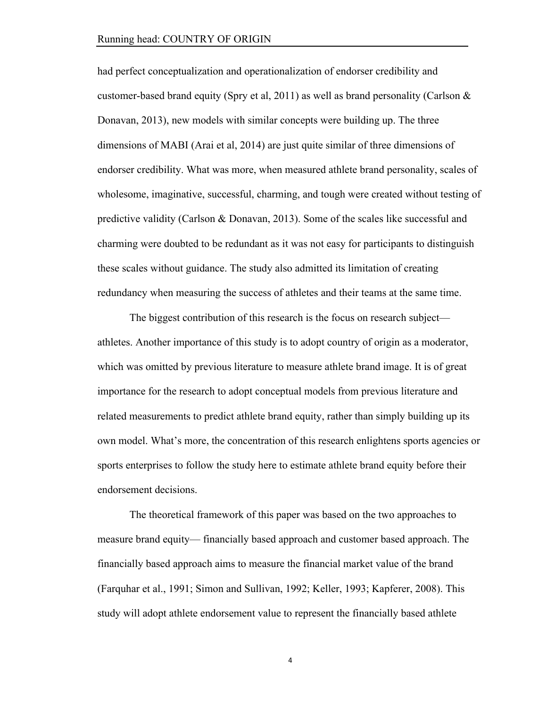had perfect conceptualization and operationalization of endorser credibility and customer-based brand equity (Spry et al, 2011) as well as brand personality (Carlson  $\&$ Donavan, 2013), new models with similar concepts were building up. The three dimensions of MABI (Arai et al, 2014) are just quite similar of three dimensions of endorser credibility. What was more, when measured athlete brand personality, scales of wholesome, imaginative, successful, charming, and tough were created without testing of predictive validity (Carlson & Donavan, 2013). Some of the scales like successful and charming were doubted to be redundant as it was not easy for participants to distinguish these scales without guidance. The study also admitted its limitation of creating redundancy when measuring the success of athletes and their teams at the same time.

The biggest contribution of this research is the focus on research subject athletes. Another importance of this study is to adopt country of origin as a moderator, which was omitted by previous literature to measure athlete brand image. It is of great importance for the research to adopt conceptual models from previous literature and related measurements to predict athlete brand equity, rather than simply building up its own model. What's more, the concentration of this research enlightens sports agencies or sports enterprises to follow the study here to estimate athlete brand equity before their endorsement decisions.

The theoretical framework of this paper was based on the two approaches to measure brand equity— financially based approach and customer based approach. The financially based approach aims to measure the financial market value of the brand (Farquhar et al., 1991; Simon and Sullivan, 1992; Keller, 1993; Kapferer, 2008). This study will adopt athlete endorsement value to represent the financially based athlete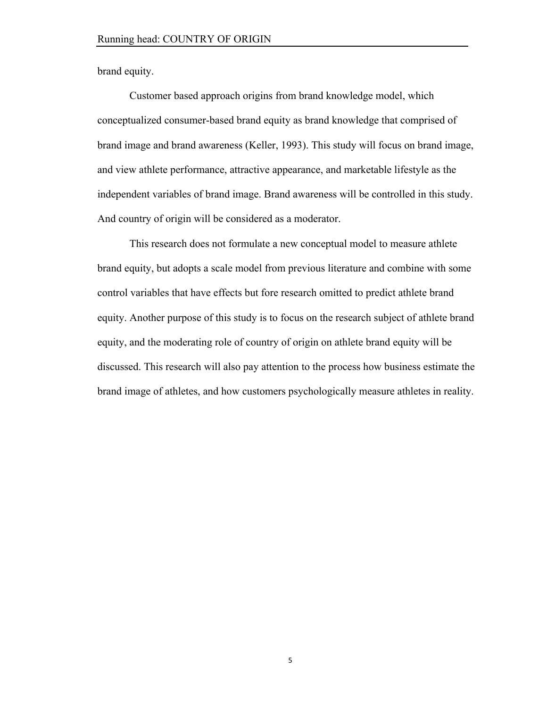brand equity.

Customer based approach origins from brand knowledge model, which conceptualized consumer-based brand equity as brand knowledge that comprised of brand image and brand awareness (Keller, 1993). This study will focus on brand image, and view athlete performance, attractive appearance, and marketable lifestyle as the independent variables of brand image. Brand awareness will be controlled in this study. And country of origin will be considered as a moderator.

This research does not formulate a new conceptual model to measure athlete brand equity, but adopts a scale model from previous literature and combine with some control variables that have effects but fore research omitted to predict athlete brand equity. Another purpose of this study is to focus on the research subject of athlete brand equity, and the moderating role of country of origin on athlete brand equity will be discussed. This research will also pay attention to the process how business estimate the brand image of athletes, and how customers psychologically measure athletes in reality.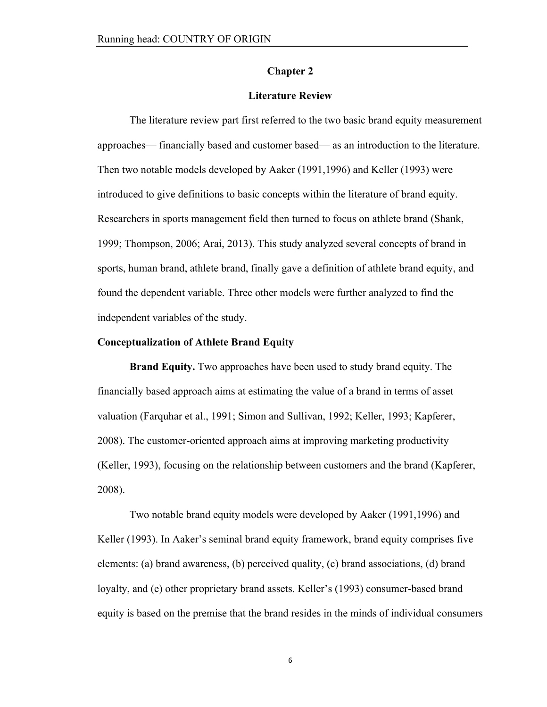#### **Chapter 2**

# **Literature Review**

The literature review part first referred to the two basic brand equity measurement approaches— financially based and customer based— as an introduction to the literature. Then two notable models developed by Aaker (1991,1996) and Keller (1993) were introduced to give definitions to basic concepts within the literature of brand equity. Researchers in sports management field then turned to focus on athlete brand (Shank, 1999; Thompson, 2006; Arai, 2013). This study analyzed several concepts of brand in sports, human brand, athlete brand, finally gave a definition of athlete brand equity, and found the dependent variable. Three other models were further analyzed to find the independent variables of the study.

#### **Conceptualization of Athlete Brand Equity**

**Brand Equity.** Two approaches have been used to study brand equity. The financially based approach aims at estimating the value of a brand in terms of asset valuation (Farquhar et al., 1991; Simon and Sullivan, 1992; Keller, 1993; Kapferer, 2008). The customer-oriented approach aims at improving marketing productivity (Keller, 1993), focusing on the relationship between customers and the brand (Kapferer, 2008).

Two notable brand equity models were developed by Aaker (1991,1996) and Keller (1993). In Aaker's seminal brand equity framework, brand equity comprises five elements: (a) brand awareness, (b) perceived quality, (c) brand associations, (d) brand loyalty, and (e) other proprietary brand assets. Keller's (1993) consumer-based brand equity is based on the premise that the brand resides in the minds of individual consumers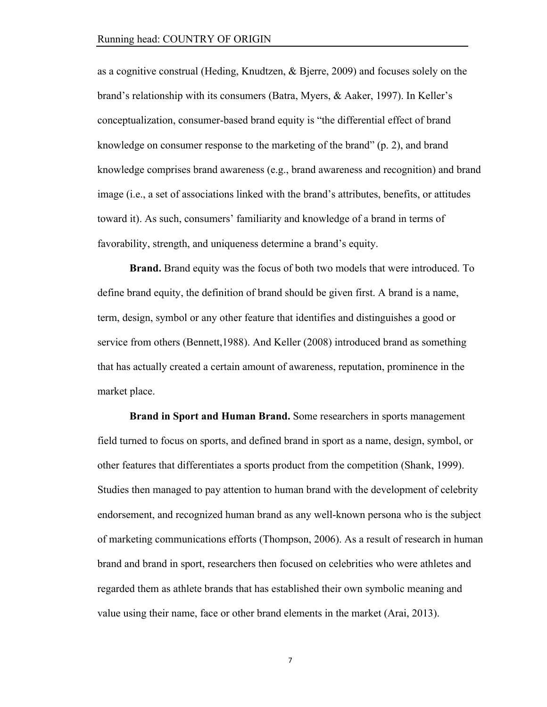as a cognitive construal (Heding, Knudtzen, & Bjerre, 2009) and focuses solely on the brand's relationship with its consumers (Batra, Myers, & Aaker, 1997). In Keller's conceptualization, consumer-based brand equity is "the differential effect of brand knowledge on consumer response to the marketing of the brand" (p. 2), and brand knowledge comprises brand awareness (e.g., brand awareness and recognition) and brand image (i.e., a set of associations linked with the brand's attributes, benefits, or attitudes toward it). As such, consumers' familiarity and knowledge of a brand in terms of favorability, strength, and uniqueness determine a brand's equity.

**Brand.** Brand equity was the focus of both two models that were introduced. To define brand equity, the definition of brand should be given first. A brand is a name, term, design, symbol or any other feature that identifies and distinguishes a good or service from others (Bennett,1988). And Keller (2008) introduced brand as something that has actually created a certain amount of awareness, reputation, prominence in the market place.

**Brand in Sport and Human Brand.** Some researchers in sports management field turned to focus on sports, and defined brand in sport as a name, design, symbol, or other features that differentiates a sports product from the competition (Shank, 1999). Studies then managed to pay attention to human brand with the development of celebrity endorsement, and recognized human brand as any well-known persona who is the subject of marketing communications efforts (Thompson, 2006). As a result of research in human brand and brand in sport, researchers then focused on celebrities who were athletes and regarded them as athlete brands that has established their own symbolic meaning and value using their name, face or other brand elements in the market (Arai, 2013).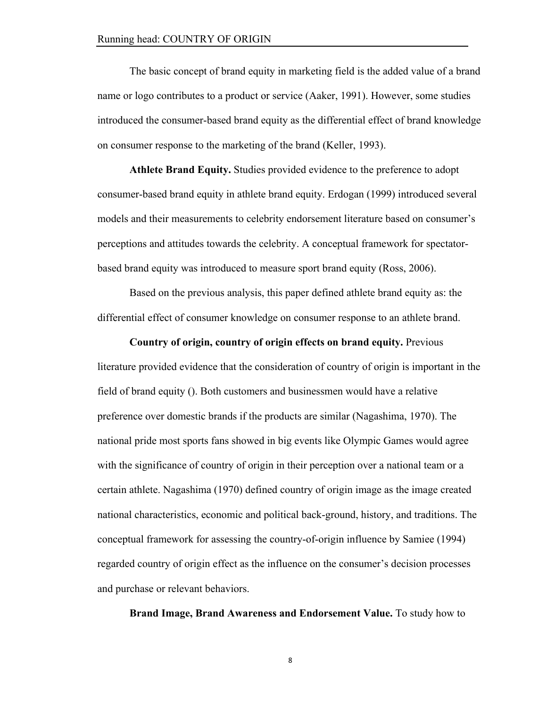The basic concept of brand equity in marketing field is the added value of a brand name or logo contributes to a product or service (Aaker, 1991). However, some studies introduced the consumer-based brand equity as the differential effect of brand knowledge on consumer response to the marketing of the brand (Keller, 1993).

**Athlete Brand Equity.** Studies provided evidence to the preference to adopt consumer-based brand equity in athlete brand equity. Erdogan (1999) introduced several models and their measurements to celebrity endorsement literature based on consumer's perceptions and attitudes towards the celebrity. A conceptual framework for spectatorbased brand equity was introduced to measure sport brand equity (Ross, 2006).

Based on the previous analysis, this paper defined athlete brand equity as: the differential effect of consumer knowledge on consumer response to an athlete brand.

**Country of origin, country of origin effects on brand equity.** Previous literature provided evidence that the consideration of country of origin is important in the field of brand equity (). Both customers and businessmen would have a relative preference over domestic brands if the products are similar (Nagashima, 1970). The national pride most sports fans showed in big events like Olympic Games would agree with the significance of country of origin in their perception over a national team or a certain athlete. Nagashima (1970) defined country of origin image as the image created national characteristics, economic and political back-ground, history, and traditions. The conceptual framework for assessing the country-of-origin influence by Samiee (1994) regarded country of origin effect as the influence on the consumer's decision processes and purchase or relevant behaviors.

**Brand Image, Brand Awareness and Endorsement Value.** To study how to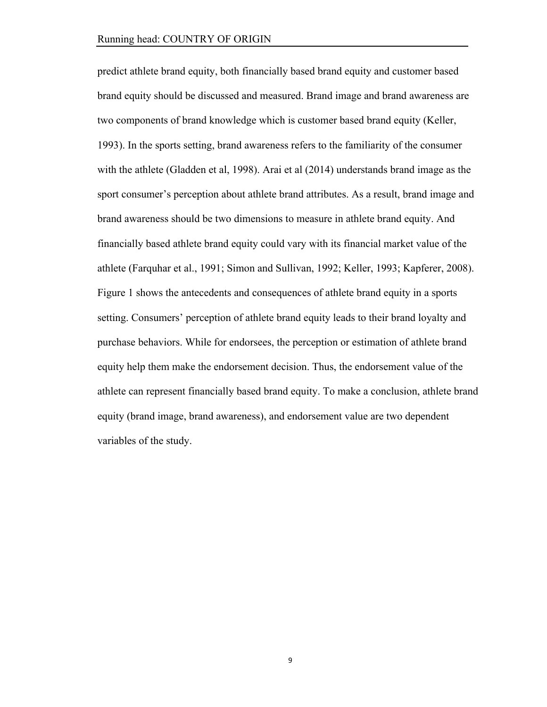predict athlete brand equity, both financially based brand equity and customer based brand equity should be discussed and measured. Brand image and brand awareness are two components of brand knowledge which is customer based brand equity (Keller, 1993). In the sports setting, brand awareness refers to the familiarity of the consumer with the athlete (Gladden et al, 1998). Arai et al (2014) understands brand image as the sport consumer's perception about athlete brand attributes. As a result, brand image and brand awareness should be two dimensions to measure in athlete brand equity. And financially based athlete brand equity could vary with its financial market value of the athlete (Farquhar et al., 1991; Simon and Sullivan, 1992; Keller, 1993; Kapferer, 2008). Figure 1 shows the antecedents and consequences of athlete brand equity in a sports setting. Consumers' perception of athlete brand equity leads to their brand loyalty and purchase behaviors. While for endorsees, the perception or estimation of athlete brand equity help them make the endorsement decision. Thus, the endorsement value of the athlete can represent financially based brand equity. To make a conclusion, athlete brand equity (brand image, brand awareness), and endorsement value are two dependent variables of the study.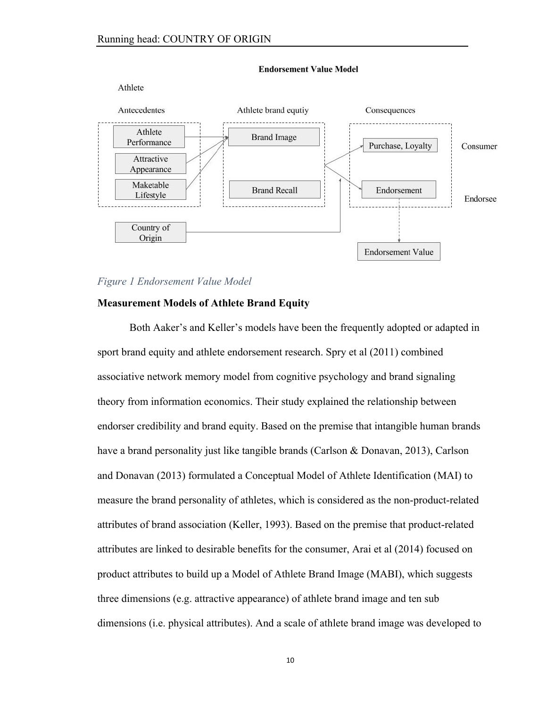

**Endorsement Value Model** 

# *Figure 1 Endorsement Value Model*

#### **Measurement Models of Athlete Brand Equity**

Both Aaker's and Keller's models have been the frequently adopted or adapted in sport brand equity and athlete endorsement research. Spry et al (2011) combined associative network memory model from cognitive psychology and brand signaling theory from information economics. Their study explained the relationship between endorser credibility and brand equity. Based on the premise that intangible human brands have a brand personality just like tangible brands (Carlson & Donavan, 2013), Carlson and Donavan (2013) formulated a Conceptual Model of Athlete Identification (MAI) to measure the brand personality of athletes, which is considered as the non-product-related attributes of brand association (Keller, 1993). Based on the premise that product-related attributes are linked to desirable benefits for the consumer, Arai et al (2014) focused on product attributes to build up a Model of Athlete Brand Image (MABI), which suggests three dimensions (e.g. attractive appearance) of athlete brand image and ten sub dimensions (i.e. physical attributes). And a scale of athlete brand image was developed to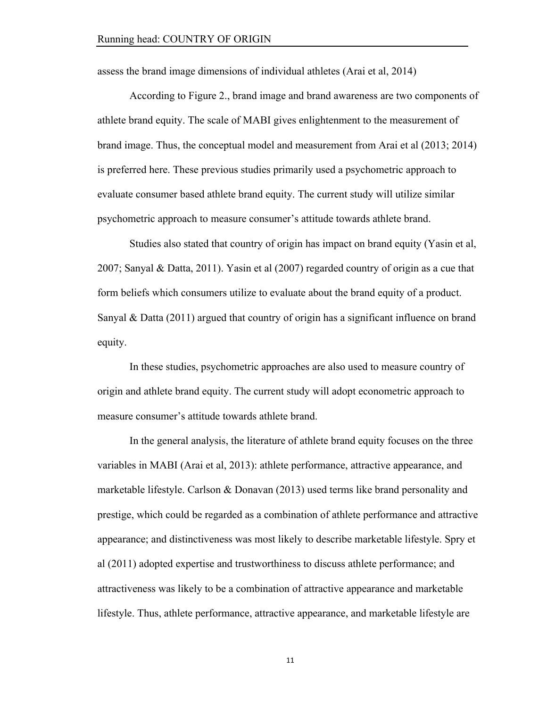assess the brand image dimensions of individual athletes (Arai et al, 2014)

According to Figure 2., brand image and brand awareness are two components of athlete brand equity. The scale of MABI gives enlightenment to the measurement of brand image. Thus, the conceptual model and measurement from Arai et al (2013; 2014) is preferred here. These previous studies primarily used a psychometric approach to evaluate consumer based athlete brand equity. The current study will utilize similar psychometric approach to measure consumer's attitude towards athlete brand.

Studies also stated that country of origin has impact on brand equity (Yasin et al, 2007; Sanyal & Datta, 2011). Yasin et al (2007) regarded country of origin as a cue that form beliefs which consumers utilize to evaluate about the brand equity of a product. Sanyal & Datta (2011) argued that country of origin has a significant influence on brand equity.

In these studies, psychometric approaches are also used to measure country of origin and athlete brand equity. The current study will adopt econometric approach to measure consumer's attitude towards athlete brand.

In the general analysis, the literature of athlete brand equity focuses on the three variables in MABI (Arai et al, 2013): athlete performance, attractive appearance, and marketable lifestyle. Carlson & Donavan (2013) used terms like brand personality and prestige, which could be regarded as a combination of athlete performance and attractive appearance; and distinctiveness was most likely to describe marketable lifestyle. Spry et al (2011) adopted expertise and trustworthiness to discuss athlete performance; and attractiveness was likely to be a combination of attractive appearance and marketable lifestyle. Thus, athlete performance, attractive appearance, and marketable lifestyle are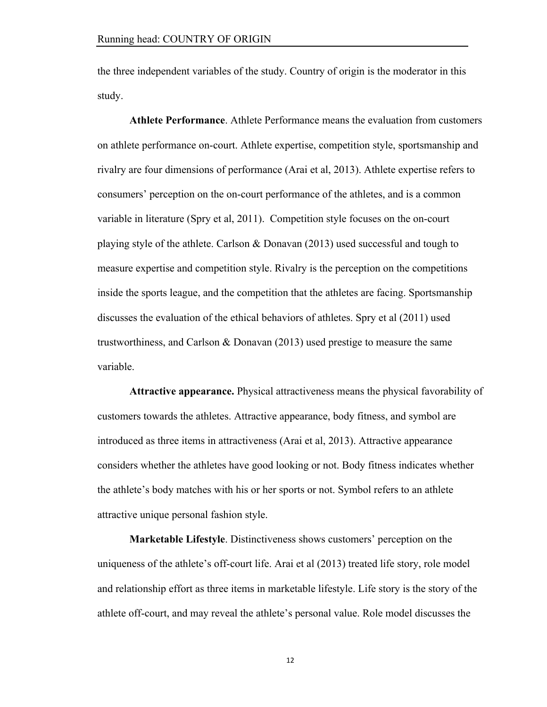the three independent variables of the study. Country of origin is the moderator in this study.

**Athlete Performance**. Athlete Performance means the evaluation from customers on athlete performance on-court. Athlete expertise, competition style, sportsmanship and rivalry are four dimensions of performance (Arai et al, 2013). Athlete expertise refers to consumers' perception on the on-court performance of the athletes, and is a common variable in literature (Spry et al, 2011). Competition style focuses on the on-court playing style of the athlete. Carlson & Donavan (2013) used successful and tough to measure expertise and competition style. Rivalry is the perception on the competitions inside the sports league, and the competition that the athletes are facing. Sportsmanship discusses the evaluation of the ethical behaviors of athletes. Spry et al (2011) used trustworthiness, and Carlson & Donavan (2013) used prestige to measure the same variable.

**Attractive appearance.** Physical attractiveness means the physical favorability of customers towards the athletes. Attractive appearance, body fitness, and symbol are introduced as three items in attractiveness (Arai et al, 2013). Attractive appearance considers whether the athletes have good looking or not. Body fitness indicates whether the athlete's body matches with his or her sports or not. Symbol refers to an athlete attractive unique personal fashion style.

**Marketable Lifestyle**. Distinctiveness shows customers' perception on the uniqueness of the athlete's off-court life. Arai et al (2013) treated life story, role model and relationship effort as three items in marketable lifestyle. Life story is the story of the athlete off-court, and may reveal the athlete's personal value. Role model discusses the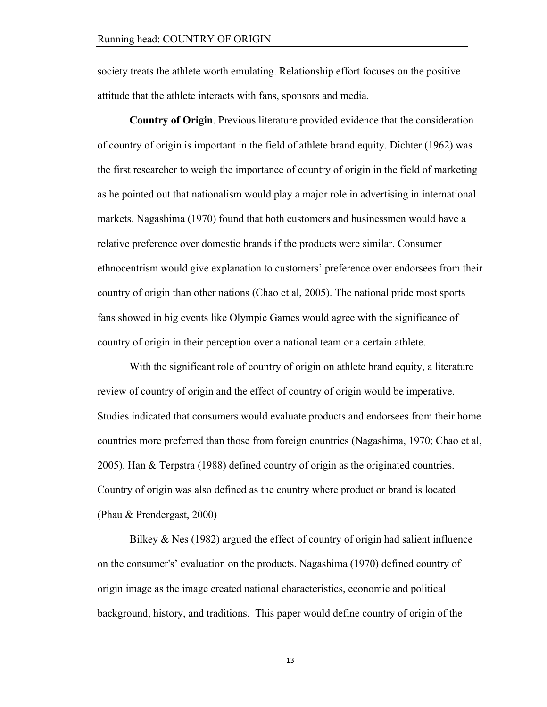society treats the athlete worth emulating. Relationship effort focuses on the positive attitude that the athlete interacts with fans, sponsors and media.

**Country of Origin**. Previous literature provided evidence that the consideration of country of origin is important in the field of athlete brand equity. Dichter (1962) was the first researcher to weigh the importance of country of origin in the field of marketing as he pointed out that nationalism would play a major role in advertising in international markets. Nagashima (1970) found that both customers and businessmen would have a relative preference over domestic brands if the products were similar. Consumer ethnocentrism would give explanation to customers' preference over endorsees from their country of origin than other nations (Chao et al, 2005). The national pride most sports fans showed in big events like Olympic Games would agree with the significance of country of origin in their perception over a national team or a certain athlete.

With the significant role of country of origin on athlete brand equity, a literature review of country of origin and the effect of country of origin would be imperative. Studies indicated that consumers would evaluate products and endorsees from their home countries more preferred than those from foreign countries (Nagashima, 1970; Chao et al, 2005). Han & Terpstra (1988) defined country of origin as the originated countries. Country of origin was also defined as the country where product or brand is located (Phau & Prendergast, 2000)

Bilkey  $\&$  Nes (1982) argued the effect of country of origin had salient influence on the consumer's' evaluation on the products. Nagashima (1970) defined country of origin image as the image created national characteristics, economic and political background, history, and traditions. This paper would define country of origin of the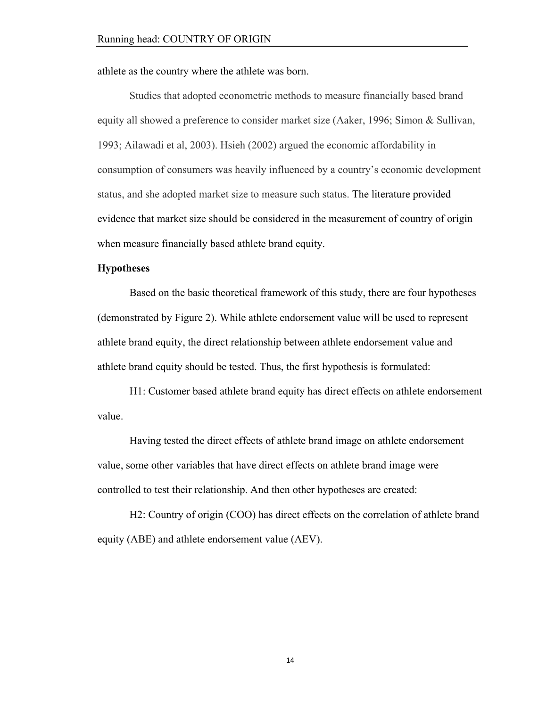athlete as the country where the athlete was born.

Studies that adopted econometric methods to measure financially based brand equity all showed a preference to consider market size (Aaker, 1996; Simon & Sullivan, 1993; Ailawadi et al, 2003). Hsieh (2002) argued the economic affordability in consumption of consumers was heavily influenced by a country's economic development status, and she adopted market size to measure such status. The literature provided evidence that market size should be considered in the measurement of country of origin when measure financially based athlete brand equity.

#### **Hypotheses**

Based on the basic theoretical framework of this study, there are four hypotheses (demonstrated by Figure 2). While athlete endorsement value will be used to represent athlete brand equity, the direct relationship between athlete endorsement value and athlete brand equity should be tested. Thus, the first hypothesis is formulated:

H1: Customer based athlete brand equity has direct effects on athlete endorsement value.

Having tested the direct effects of athlete brand image on athlete endorsement value, some other variables that have direct effects on athlete brand image were controlled to test their relationship. And then other hypotheses are created:

H2: Country of origin (COO) has direct effects on the correlation of athlete brand equity (ABE) and athlete endorsement value (AEV).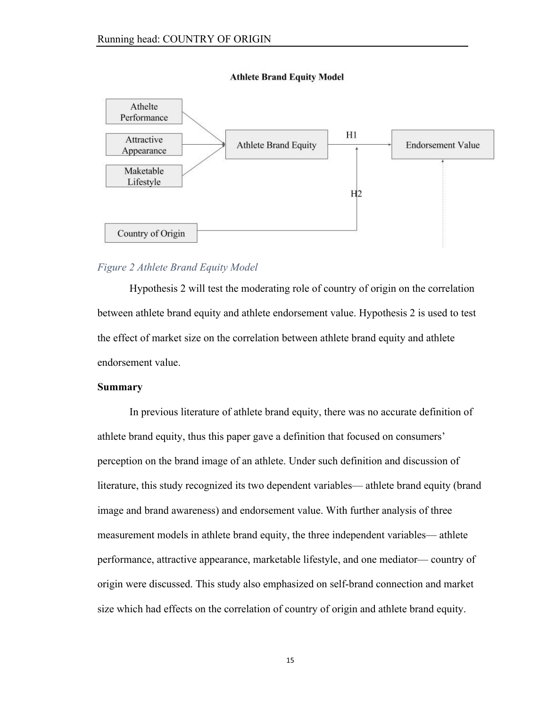

#### **Athlete Brand Equity Model**

# *Figure 2 Athlete Brand Equity Model*

Hypothesis 2 will test the moderating role of country of origin on the correlation between athlete brand equity and athlete endorsement value. Hypothesis 2 is used to test the effect of market size on the correlation between athlete brand equity and athlete endorsement value.

#### **Summary**

In previous literature of athlete brand equity, there was no accurate definition of athlete brand equity, thus this paper gave a definition that focused on consumers' perception on the brand image of an athlete. Under such definition and discussion of literature, this study recognized its two dependent variables— athlete brand equity (brand image and brand awareness) and endorsement value. With further analysis of three measurement models in athlete brand equity, the three independent variables— athlete performance, attractive appearance, marketable lifestyle, and one mediator— country of origin were discussed. This study also emphasized on self-brand connection and market size which had effects on the correlation of country of origin and athlete brand equity.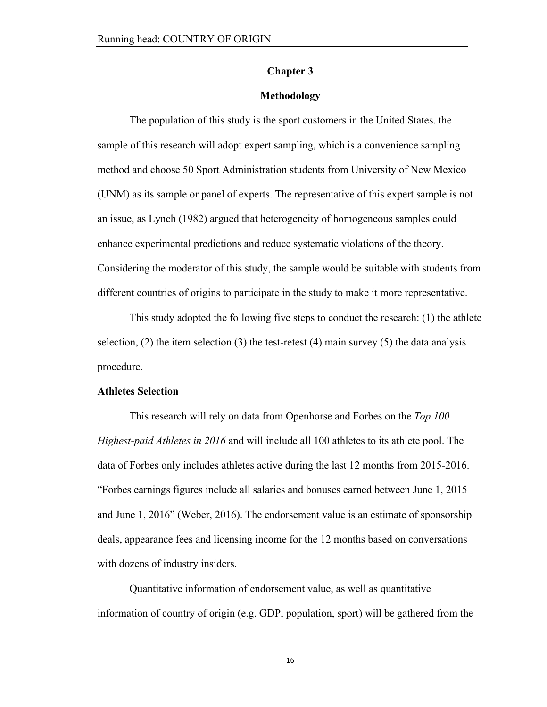# **Chapter 3**

#### **Methodology**

The population of this study is the sport customers in the United States. the sample of this research will adopt expert sampling, which is a convenience sampling method and choose 50 Sport Administration students from University of New Mexico (UNM) as its sample or panel of experts. The representative of this expert sample is not an issue, as Lynch (1982) argued that heterogeneity of homogeneous samples could enhance experimental predictions and reduce systematic violations of the theory. Considering the moderator of this study, the sample would be suitable with students from different countries of origins to participate in the study to make it more representative.

This study adopted the following five steps to conduct the research: (1) the athlete selection,  $(2)$  the item selection  $(3)$  the test-retest  $(4)$  main survey  $(5)$  the data analysis procedure.

#### **Athletes Selection**

This research will rely on data from Openhorse and Forbes on the *Top 100 Highest-paid Athletes in 2016* and will include all 100 athletes to its athlete pool. The data of Forbes only includes athletes active during the last 12 months from 2015-2016. "Forbes earnings figures include all salaries and bonuses earned between June 1, 2015 and June 1, 2016" (Weber, 2016). The endorsement value is an estimate of sponsorship deals, appearance fees and licensing income for the 12 months based on conversations with dozens of industry insiders.

Quantitative information of endorsement value, as well as quantitative information of country of origin (e.g. GDP, population, sport) will be gathered from the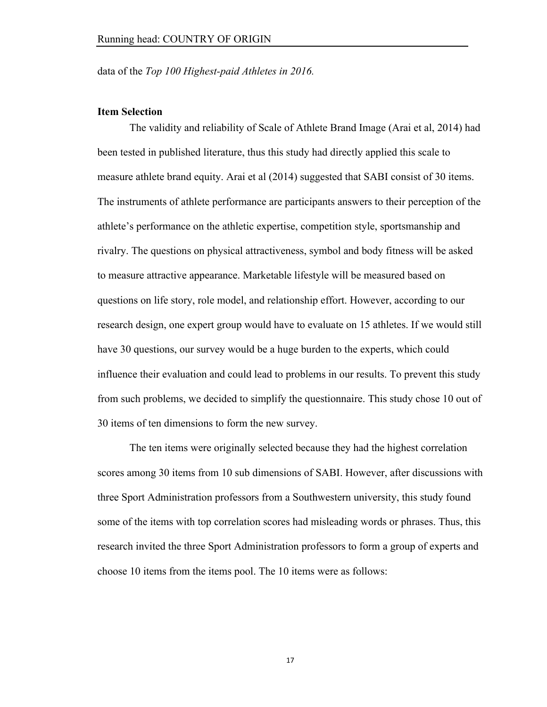data of the *Top 100 Highest-paid Athletes in 2016.*

#### **Item Selection**

The validity and reliability of Scale of Athlete Brand Image (Arai et al, 2014) had been tested in published literature, thus this study had directly applied this scale to measure athlete brand equity. Arai et al (2014) suggested that SABI consist of 30 items. The instruments of athlete performance are participants answers to their perception of the athlete's performance on the athletic expertise, competition style, sportsmanship and rivalry. The questions on physical attractiveness, symbol and body fitness will be asked to measure attractive appearance. Marketable lifestyle will be measured based on questions on life story, role model, and relationship effort. However, according to our research design, one expert group would have to evaluate on 15 athletes. If we would still have 30 questions, our survey would be a huge burden to the experts, which could influence their evaluation and could lead to problems in our results. To prevent this study from such problems, we decided to simplify the questionnaire. This study chose 10 out of 30 items of ten dimensions to form the new survey.

The ten items were originally selected because they had the highest correlation scores among 30 items from 10 sub dimensions of SABI. However, after discussions with three Sport Administration professors from a Southwestern university, this study found some of the items with top correlation scores had misleading words or phrases. Thus, this research invited the three Sport Administration professors to form a group of experts and choose 10 items from the items pool. The 10 items were as follows: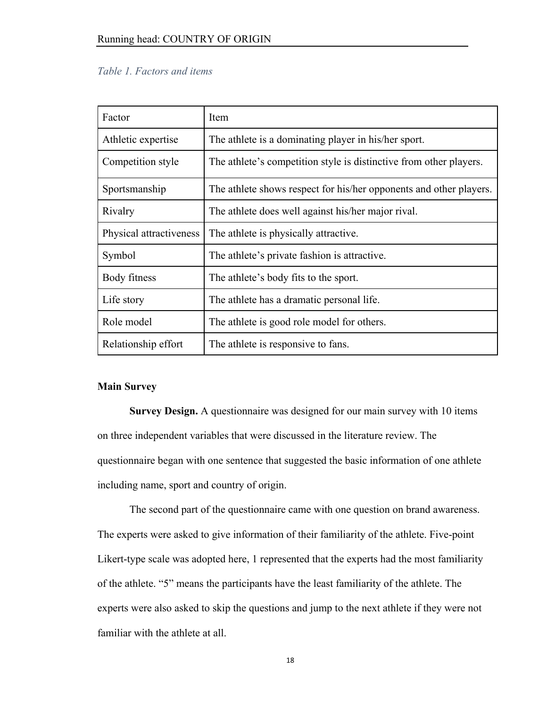# *Table 1. Factors and items*

| Factor                  | Item                                                               |
|-------------------------|--------------------------------------------------------------------|
| Athletic expertise      | The athlete is a dominating player in his/her sport.               |
| Competition style       | The athlete's competition style is distinctive from other players. |
| Sportsmanship           | The athlete shows respect for his/her opponents and other players. |
| Rivalry                 | The athlete does well against his/her major rival.                 |
| Physical attractiveness | The athlete is physically attractive.                              |
| Symbol                  | The athlete's private fashion is attractive.                       |
| Body fitness            | The athlete's body fits to the sport.                              |
| Life story              | The athlete has a dramatic personal life.                          |
| Role model              | The athlete is good role model for others.                         |
| Relationship effort     | The athlete is responsive to fans.                                 |

### **Main Survey**

**Survey Design.** A questionnaire was designed for our main survey with 10 items on three independent variables that were discussed in the literature review. The questionnaire began with one sentence that suggested the basic information of one athlete including name, sport and country of origin.

The second part of the questionnaire came with one question on brand awareness. The experts were asked to give information of their familiarity of the athlete. Five-point Likert-type scale was adopted here, 1 represented that the experts had the most familiarity of the athlete. "5" means the participants have the least familiarity of the athlete. The experts were also asked to skip the questions and jump to the next athlete if they were not familiar with the athlete at all.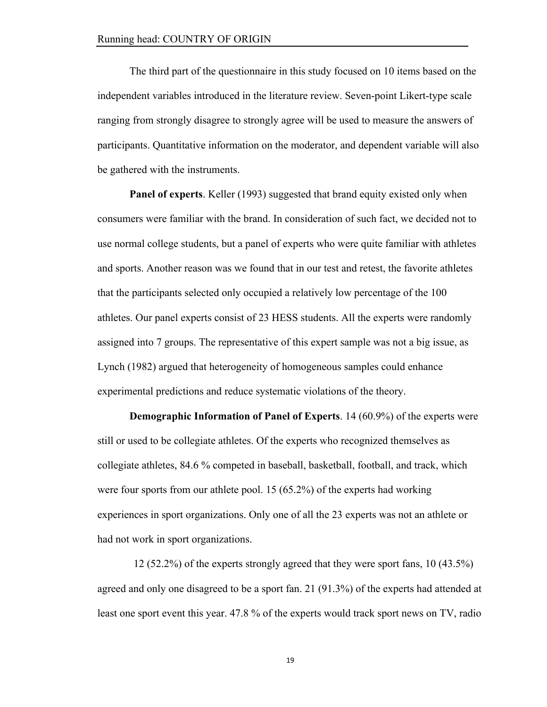The third part of the questionnaire in this study focused on 10 items based on the independent variables introduced in the literature review. Seven-point Likert-type scale ranging from strongly disagree to strongly agree will be used to measure the answers of participants. Quantitative information on the moderator, and dependent variable will also be gathered with the instruments.

**Panel of experts**. Keller (1993) suggested that brand equity existed only when consumers were familiar with the brand. In consideration of such fact, we decided not to use normal college students, but a panel of experts who were quite familiar with athletes and sports. Another reason was we found that in our test and retest, the favorite athletes that the participants selected only occupied a relatively low percentage of the 100 athletes. Our panel experts consist of 23 HESS students. All the experts were randomly assigned into 7 groups. The representative of this expert sample was not a big issue, as Lynch (1982) argued that heterogeneity of homogeneous samples could enhance experimental predictions and reduce systematic violations of the theory.

**Demographic Information of Panel of Experts**. 14 (60.9%) of the experts were still or used to be collegiate athletes. Of the experts who recognized themselves as collegiate athletes, 84.6 % competed in baseball, basketball, football, and track, which were four sports from our athlete pool. 15 (65.2%) of the experts had working experiences in sport organizations. Only one of all the 23 experts was not an athlete or had not work in sport organizations.

12 (52.2%) of the experts strongly agreed that they were sport fans, 10 (43.5%) agreed and only one disagreed to be a sport fan. 21 (91.3%) of the experts had attended at least one sport event this year. 47.8 % of the experts would track sport news on TV, radio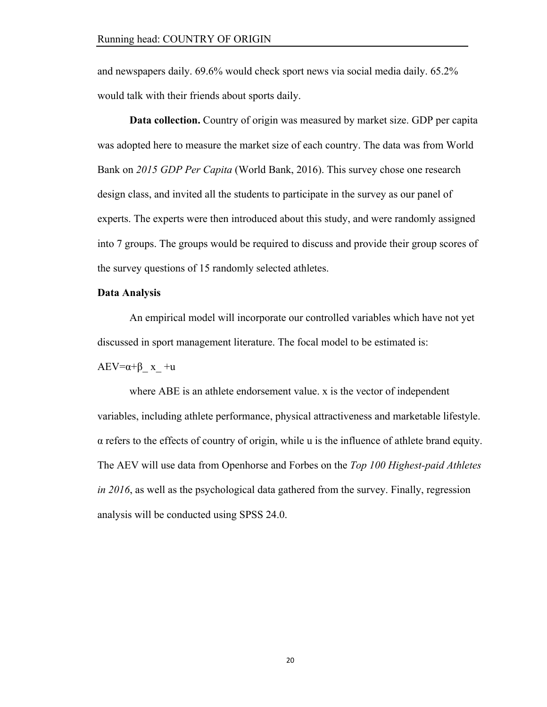and newspapers daily. 69.6% would check sport news via social media daily. 65.2% would talk with their friends about sports daily.

**Data collection.** Country of origin was measured by market size. GDP per capita was adopted here to measure the market size of each country. The data was from World Bank on *2015 GDP Per Capita* (World Bank, 2016). This survey chose one research design class, and invited all the students to participate in the survey as our panel of experts. The experts were then introduced about this study, and were randomly assigned into 7 groups. The groups would be required to discuss and provide their group scores of the survey questions of 15 randomly selected athletes.

# **Data Analysis**

An empirical model will incorporate our controlled variables which have not yet discussed in sport management literature. The focal model to be estimated is:

 $AEV=\alpha+\beta$  x +u

where ABE is an athlete endorsement value. x is the vector of independent variables, including athlete performance, physical attractiveness and marketable lifestyle.  $\alpha$  refers to the effects of country of origin, while u is the influence of athlete brand equity. The AEV will use data from Openhorse and Forbes on the *Top 100 Highest-paid Athletes in 2016*, as well as the psychological data gathered from the survey. Finally, regression analysis will be conducted using SPSS 24.0.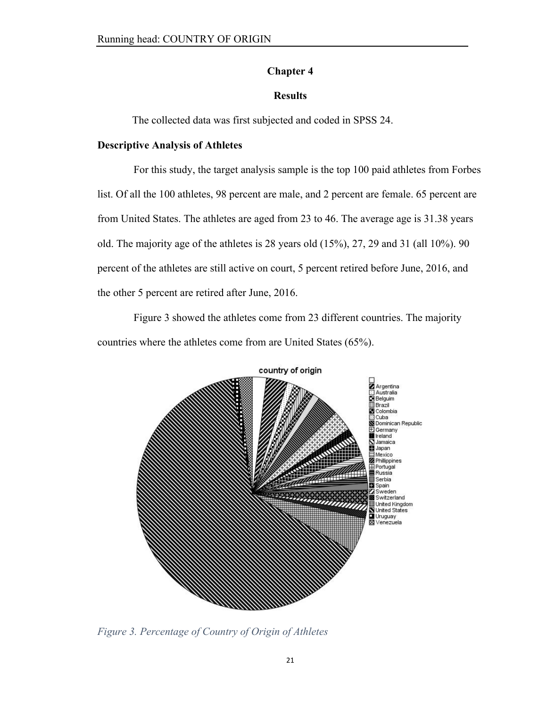# **Chapter 4**

# **Results**

The collected data was first subjected and coded in SPSS 24.

# **Descriptive Analysis of Athletes**

For this study, the target analysis sample is the top 100 paid athletes from Forbes list. Of all the 100 athletes, 98 percent are male, and 2 percent are female. 65 percent are from United States. The athletes are aged from 23 to 46. The average age is 31.38 years old. The majority age of the athletes is 28 years old (15%), 27, 29 and 31 (all 10%). 90 percent of the athletes are still active on court, 5 percent retired before June, 2016, and the other 5 percent are retired after June, 2016.

Figure 3 showed the athletes come from 23 different countries. The majority countries where the athletes come from are United States (65%).



*Figure 3. Percentage of Country of Origin of Athletes*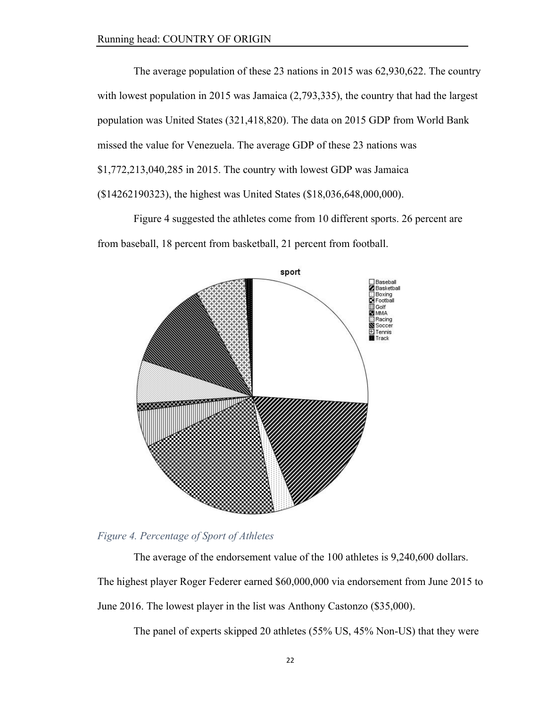The average population of these 23 nations in 2015 was 62,930,622. The country with lowest population in 2015 was Jamaica  $(2,793,335)$ , the country that had the largest population was United States (321,418,820). The data on 2015 GDP from World Bank missed the value for Venezuela. The average GDP of these 23 nations was \$1,772,213,040,285 in 2015. The country with lowest GDP was Jamaica (\$14262190323), the highest was United States (\$18,036,648,000,000).

Figure 4 suggested the athletes come from 10 different sports. 26 percent are from baseball, 18 percent from basketball, 21 percent from football.





The average of the endorsement value of the 100 athletes is 9,240,600 dollars. The highest player Roger Federer earned \$60,000,000 via endorsement from June 2015 to June 2016. The lowest player in the list was Anthony Castonzo (\$35,000).

The panel of experts skipped 20 athletes (55% US, 45% Non-US) that they were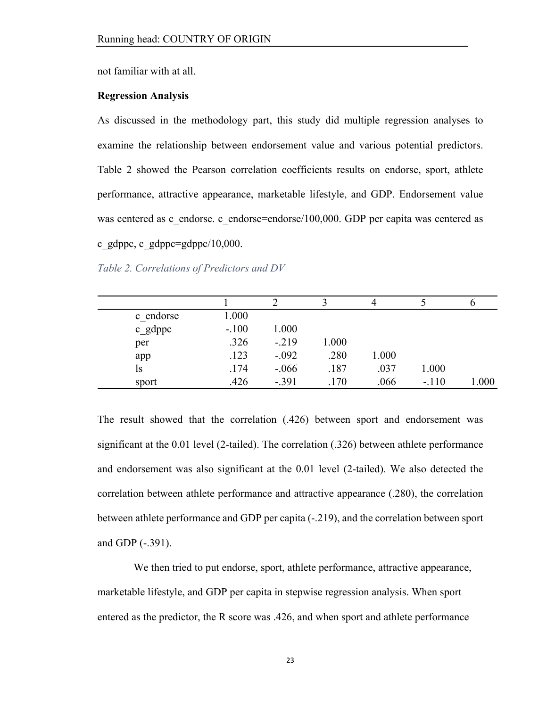not familiar with at all.

### **Regression Analysis**

As discussed in the methodology part, this study did multiple regression analyses to examine the relationship between endorsement value and various potential predictors. Table 2 showed the Pearson correlation coefficients results on endorse, sport, athlete performance, attractive appearance, marketable lifestyle, and GDP. Endorsement value was centered as c\_endorse. c\_endorse=endorse/100,000. GDP per capita was centered as c\_gdppc, c\_gdppc=gdppc/10,000.

*Table 2. Correlations of Predictors and DV*

|           |         |         |       |       |         | O    |
|-----------|---------|---------|-------|-------|---------|------|
| c endorse | 1.000   |         |       |       |         |      |
| c_gdppc   | $-.100$ | 1.000   |       |       |         |      |
| per       | .326    | $-219$  | 1.000 |       |         |      |
| app       | .123    | $-.092$ | .280  | 1.000 |         |      |
| ls        | .174    | $-.066$ | .187  | .037  | 1.000   |      |
| sport     | .426    | $-.391$ | .170  | .066  | $-.110$ | .000 |

The result showed that the correlation (.426) between sport and endorsement was significant at the 0.01 level (2-tailed). The correlation (.326) between athlete performance and endorsement was also significant at the 0.01 level (2-tailed). We also detected the correlation between athlete performance and attractive appearance (.280), the correlation between athlete performance and GDP per capita (-.219), and the correlation between sport and GDP (-.391).

We then tried to put endorse, sport, athlete performance, attractive appearance, marketable lifestyle, and GDP per capita in stepwise regression analysis. When sport entered as the predictor, the R score was .426, and when sport and athlete performance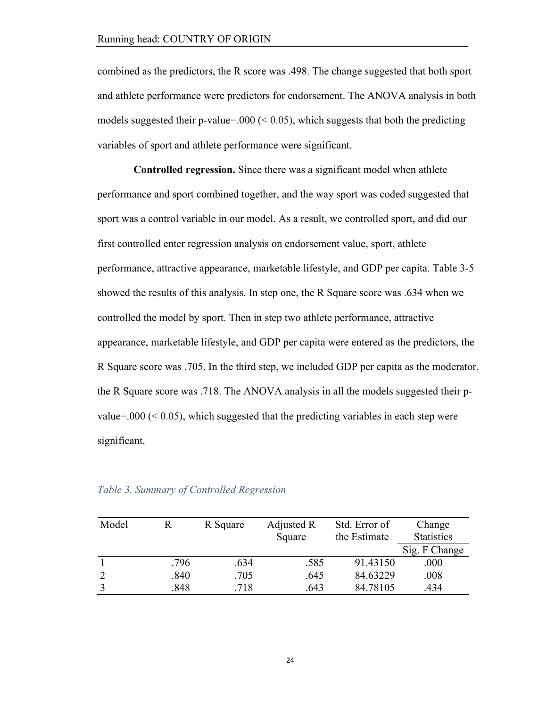combined as the predictors, the R score was .498. The change suggested that both sport and athlete performance were predictors for endorsement. The ANOVA analysis in both models suggested their p-value=.000 ( $\leq$  0.05), which suggests that both the predicting variables of sport and athlete performance were significant.

**Controlled regression.** Since there was a significant model when athlete performance and sport combined together, and the way sport was coded suggested that sport was a control variable in our model. As a result, we controlled sport, and did our first controlled enter regression analysis on endorsement value, sport, athlete performance, attractive appearance, marketable lifestyle, and GDP per capita. Table 3-5 showed the results of this analysis. In step one, the R Square score was .634 when we controlled the model by sport. Then in step two athlete performance, attractive appearance, marketable lifestyle, and GDP per capita were entered as the predictors, the R Square score was .705. In the third step, we included GDP per capita as the moderator, the R Square score was .718. The ANOVA analysis in all the models suggested their pvalue=.000 ( $\leq$  0.05), which suggested that the predicting variables in each step were significant.

| Model |      | R Square | Adjusted R<br>Square | Std. Error of<br>Change<br><b>Statistics</b><br>the Estimate |               |
|-------|------|----------|----------------------|--------------------------------------------------------------|---------------|
|       |      |          |                      |                                                              | Sig. F Change |
|       | .796 | .634     | .585                 | 91.43150                                                     | .000          |
|       | .840 | .705     | .645                 | 84.63229                                                     | .008          |
|       | .848 | .718     | .643                 | 84.78105                                                     | 434           |

#### *Table 3. Summary of Controlled Regression*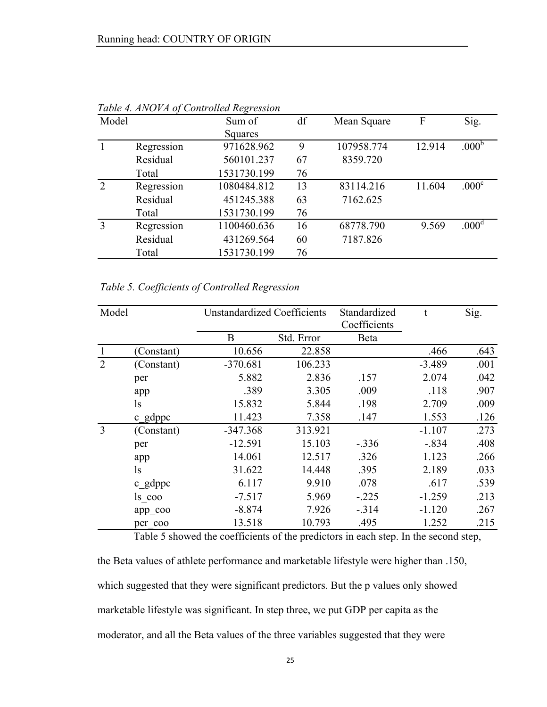| Model          |            | Sum of      | df | Mean Square | F      | Sig.              |
|----------------|------------|-------------|----|-------------|--------|-------------------|
|                |            | Squares     |    |             |        |                   |
|                | Regression | 971628.962  | 9  | 107958.774  | 12.914 | .000 <sup>b</sup> |
|                | Residual   | 560101.237  | 67 | 8359.720    |        |                   |
|                | Total      | 1531730.199 | 76 |             |        |                   |
| $\overline{2}$ | Regression | 1080484.812 | 13 | 83114.216   | 11.604 | .000 <sup>c</sup> |
|                | Residual   | 451245.388  | 63 | 7162.625    |        |                   |
|                | Total      | 1531730.199 | 76 |             |        |                   |
| 3              | Regression | 1100460.636 | 16 | 68778.790   | 9.569  | .000 <sup>d</sup> |
|                | Residual   | 431269.564  | 60 | 7187.826    |        |                   |
|                | Total      | 1531730.199 | 76 |             |        |                   |

*Table 4. ANOVA of Controlled Regression*

*Table 5. Coefficients of Controlled Regression*

| Model |            |            | <b>Unstandardized Coefficients</b> |          | t        | Sig. |
|-------|------------|------------|------------------------------------|----------|----------|------|
|       |            | B          | Std. Error                         | Beta     |          |      |
| -1    | (Constant) | 10.656     | 22.858                             |          | .466     | .643 |
| 2     | (Constant) | $-370.681$ | 106.233                            |          | $-3.489$ | .001 |
|       | per        | 5.882      | 2.836                              | .157     | 2.074    | .042 |
|       | app        | .389       | 3.305                              | .009     | .118     | .907 |
|       | ls.        | 15.832     | 5.844                              | .198     | 2.709    | .009 |
|       | c gdppc    | 11.423     | 7.358                              | .147     | 1.553    | .126 |
| 3     | (Constant) | $-347.368$ | 313.921                            |          | $-1.107$ | .273 |
|       | per        | $-12.591$  | 15.103                             | $-.336$  | $-.834$  | .408 |
|       | app        | 14.061     | 12.517                             | .326     | 1.123    | .266 |
|       | ls.        | 31.622     | 14.448                             | .395     | 2.189    | .033 |
|       | $c$ gdppc  | 6.117      | 9.910                              | .078     | .617     | .539 |
|       | ls coo     | $-7.517$   | 5.969                              | $-0.225$ | $-1.259$ | .213 |
|       | app coo    | $-8.874$   | 7.926                              | $-314$   | $-1.120$ | .267 |
|       | per coo    | 13.518     | 10.793                             | .495     | 1.252    | .215 |

Table 5 showed the coefficients of the predictors in each step. In the second step,

the Beta values of athlete performance and marketable lifestyle were higher than .150, which suggested that they were significant predictors. But the p values only showed marketable lifestyle was significant. In step three, we put GDP per capita as the moderator, and all the Beta values of the three variables suggested that they were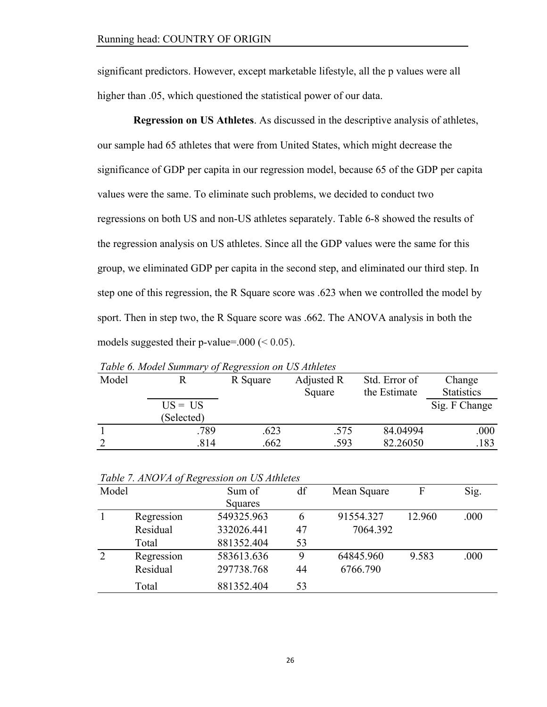significant predictors. However, except marketable lifestyle, all the p values were all higher than .05, which questioned the statistical power of our data.

**Regression on US Athletes**. As discussed in the descriptive analysis of athletes, our sample had 65 athletes that were from United States, which might decrease the significance of GDP per capita in our regression model, because 65 of the GDP per capita values were the same. To eliminate such problems, we decided to conduct two regressions on both US and non-US athletes separately. Table 6-8 showed the results of the regression analysis on US athletes. Since all the GDP values were the same for this group, we eliminated GDP per capita in the second step, and eliminated our third step. In step one of this regression, the R Square score was .623 when we controlled the model by sport. Then in step two, the R Square score was .662. The ANOVA analysis in both the models suggested their p-value=.000 ( $< 0.05$ ).

| Model |                         | R Square | Adjusted R<br>Square | Std. Error of<br>the Estimate | Change<br><b>Statistics</b> |
|-------|-------------------------|----------|----------------------|-------------------------------|-----------------------------|
|       | $US = US$<br>(Selected) |          |                      |                               | Sig. F Change               |
|       | .789                    | .623     | .575                 | 84.04994                      | .000                        |
|       | .814                    | .662     | .593                 | 82.26050                      | .183                        |

*Table 6. Model Summary of Regression on US Athletes*

|  |  |  |  |  |  | Table 7. ANOVA of Regression on US Athletes |
|--|--|--|--|--|--|---------------------------------------------|
|--|--|--|--|--|--|---------------------------------------------|

| Model |            | Sum of     | df | Mean Square | F      | Sig. |
|-------|------------|------------|----|-------------|--------|------|
|       |            | Squares    |    |             |        |      |
|       | Regression | 549325.963 | 6  | 91554.327   | 12.960 | .000 |
|       | Residual   | 332026.441 | 47 | 7064.392    |        |      |
|       | Total      | 881352.404 | 53 |             |        |      |
| 2     | Regression | 583613.636 | 9  | 64845.960   | 9.583  | .000 |
|       | Residual   | 297738.768 | 44 | 6766.790    |        |      |
|       | Total      | 881352.404 | 53 |             |        |      |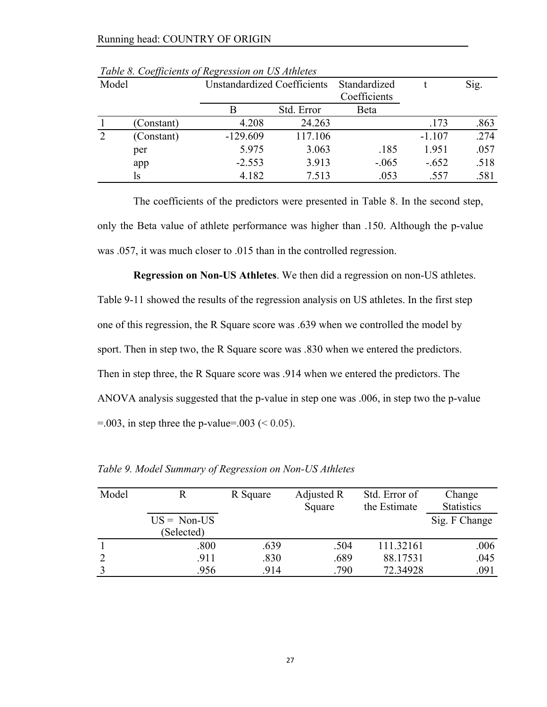| Model |            | <b>Unstandardized Coefficients</b> |            | Standardized<br>Coefficients |          | Sig. |
|-------|------------|------------------------------------|------------|------------------------------|----------|------|
|       |            |                                    | Std. Error | Beta                         |          |      |
|       | (Constant) | 4.208                              | 24.263     |                              | .173     | .863 |
|       | (Constant) | $-129.609$                         | 117.106    |                              | $-1.107$ | .274 |
|       | per        | 5.975                              | 3.063      | .185                         | 1.951    | .057 |
|       | app        | $-2.553$                           | 3.913      | $-.065$                      | $-.652$  | .518 |
|       | ls         | 4.182                              | 7.513      | .053                         | .557     | .581 |

*Table 8. Coefficients of Regression on US Athletes*

The coefficients of the predictors were presented in Table 8. In the second step, only the Beta value of athlete performance was higher than .150. Although the p-value was .057, it was much closer to .015 than in the controlled regression.

**Regression on Non-US Athletes**. We then did a regression on non-US athletes. Table 9-11 showed the results of the regression analysis on US athletes. In the first step one of this regression, the R Square score was .639 when we controlled the model by sport. Then in step two, the R Square score was .830 when we entered the predictors. Then in step three, the R Square score was .914 when we entered the predictors. The ANOVA analysis suggested that the p-value in step one was .006, in step two the p-value  $=$  0.03, in step three the p-value=.003 (< 0.05).

| Model          |                      | R Square | Adjusted R<br>Square | Std. Error of<br>the Estimate | Change<br><b>Statistics</b> |  |
|----------------|----------------------|----------|----------------------|-------------------------------|-----------------------------|--|
|                | $US = \text{Non-US}$ |          |                      |                               | Sig. F Change               |  |
|                | (Selected)           |          |                      |                               |                             |  |
|                | .800                 | .639     | .504                 | 111.32161                     | .006                        |  |
| $\overline{2}$ | .911                 | .830     | .689                 | 88.17531                      | .045                        |  |
| 3              | .956                 | .914     | .790                 | 72.34928                      | .091                        |  |

*Table 9. Model Summary of Regression on Non-US Athletes*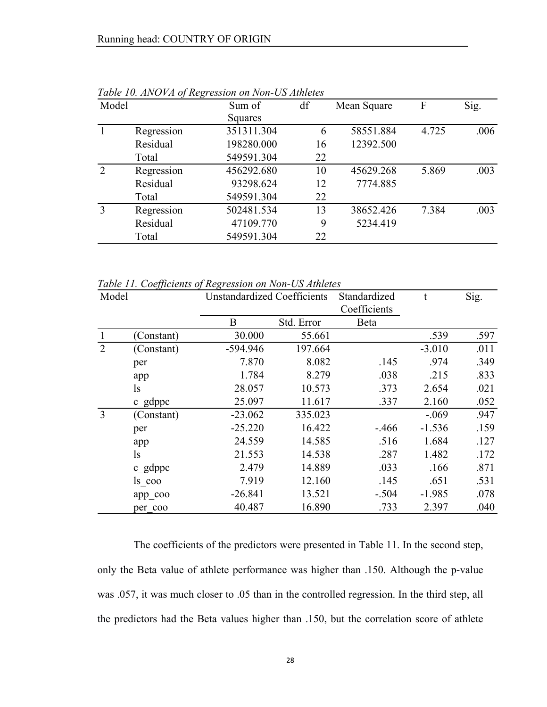| Model          | $\tilde{\phantom{a}}$ | Sum of     | df | Mean Square | F     | Sig. |
|----------------|-----------------------|------------|----|-------------|-------|------|
|                |                       | Squares    |    |             |       |      |
|                | Regression            | 351311.304 | 6  | 58551.884   | 4.725 | .006 |
|                | Residual              | 198280.000 | 16 | 12392.500   |       |      |
|                | Total                 | 549591.304 | 22 |             |       |      |
| $\overline{2}$ | Regression            | 456292.680 | 10 | 45629.268   | 5.869 | .003 |
|                | Residual              | 93298.624  | 12 | 7774.885    |       |      |
|                | Total                 | 549591.304 | 22 |             |       |      |
| 3              | Regression            | 502481.534 | 13 | 38652.426   | 7.384 | .003 |
|                | Residual              | 47109.770  | 9  | 5234.419    |       |      |
|                | Total                 | 549591.304 | 22 |             |       |      |

*Table 10. ANOVA of Regression on Non-US Athletes*

*Table 11. Coefficients of Regression on Non-US Athletes*

| Model          |               | <b>Unstandardized Coefficients</b> |            | Standardized<br>Coefficients | t.       | Sig. |
|----------------|---------------|------------------------------------|------------|------------------------------|----------|------|
|                |               | B                                  | Std. Error | Beta                         |          |      |
|                | (Constant)    | 30.000                             | 55.661     |                              | .539     | .597 |
| $\overline{2}$ | (Constant)    | $-594.946$                         | 197.664    |                              | $-3.010$ | .011 |
|                | per           | 7.870                              | 8.082      | .145                         | .974     | .349 |
|                | app           | 1.784                              | 8.279      | .038                         | .215     | .833 |
|                | <sub>1s</sub> | 28.057                             | 10.573     | .373                         | 2.654    | .021 |
|                | c gdppc       | 25.097                             | 11.617     | .337                         | 2.160    | .052 |
| 3              | (Constant)    | $-23.062$                          | 335.023    |                              | $-.069$  | .947 |
|                | per           | $-25.220$                          | 16.422     | $-466$                       | $-1.536$ | .159 |
|                | app           | 24.559                             | 14.585     | .516                         | 1.684    | .127 |
|                | <sub>1s</sub> | 21.553                             | 14.538     | .287                         | 1.482    | .172 |
|                | c gdppc       | 2.479                              | 14.889     | .033                         | .166     | .871 |
|                | ls coo        | 7.919                              | 12.160     | .145                         | .651     | .531 |
|                | app_coo       | $-26.841$                          | 13.521     | $-.504$                      | $-1.985$ | .078 |
|                | per coo       | 40.487                             | 16.890     | .733                         | 2.397    | .040 |

The coefficients of the predictors were presented in Table 11. In the second step, only the Beta value of athlete performance was higher than .150. Although the p-value was .057, it was much closer to .05 than in the controlled regression. In the third step, all the predictors had the Beta values higher than .150, but the correlation score of athlete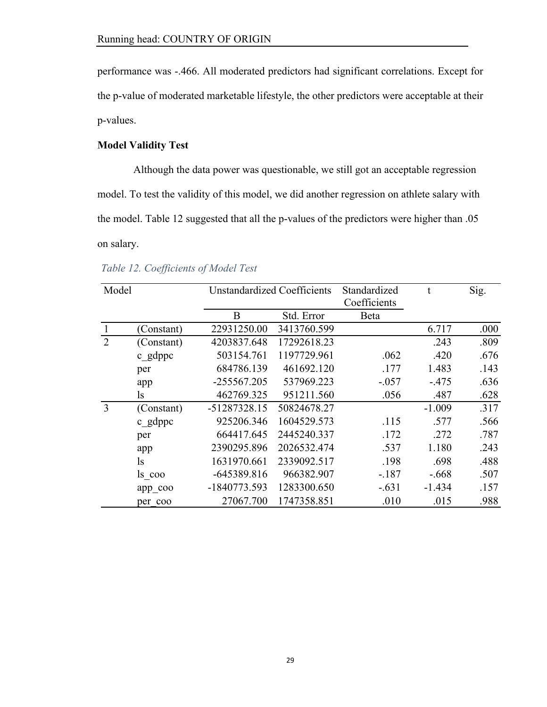performance was -.466. All moderated predictors had significant correlations. Except for the p-value of moderated marketable lifestyle, the other predictors were acceptable at their p-values.

# **Model Validity Test**

Although the data power was questionable, we still got an acceptable regression model. To test the validity of this model, we did another regression on athlete salary with the model. Table 12 suggested that all the p-values of the predictors were higher than .05 on salary.

| Model |               |                | <b>Unstandardized Coefficients</b> |              | t        | Sig. |
|-------|---------------|----------------|------------------------------------|--------------|----------|------|
|       |               |                |                                    | Coefficients |          |      |
|       |               | B              | Std. Error                         | Beta         |          |      |
|       | (Constant)    | 22931250.00    | 3413760.599                        |              | 6.717    | .000 |
| 2     | (Constant)    | 4203837.648    | 17292618.23                        |              | .243     | .809 |
|       | c gdppc       | 503154.761     | 1197729.961                        | .062         | .420     | .676 |
|       | per           | 684786.139     | 461692.120                         | .177         | 1.483    | .143 |
|       | app           | $-255567.205$  | 537969.223                         | $-.057$      | $-475$   | .636 |
|       | <sub>ls</sub> | 462769.325     | 951211.560                         | .056         | .487     | .628 |
| 3     | (Constant)    | -51287328.15   | 50824678.27                        |              | $-1.009$ | .317 |
|       | c gdppc       | 925206.346     | 1604529.573                        | .115         | .577     | .566 |
|       | per           | 664417.645     | 2445240.337                        | .172         | .272     | .787 |
|       | app           | 2390295.896    | 2026532.474                        | .537         | 1.180    | .243 |
|       | <sub>1s</sub> | 1631970.661    | 2339092.517                        | .198         | .698     | .488 |
|       | $\log$ coo    | $-645389.816$  | 966382.907                         | $-.187$      | $-.668$  | .507 |
|       | app_coo       | $-1840773.593$ | 1283300.650                        | $-.631$      | $-1.434$ | .157 |
|       | per coo       | 27067.700      | 1747358.851                        | .010         | .015     | .988 |

*Table 12. Coefficients of Model Test*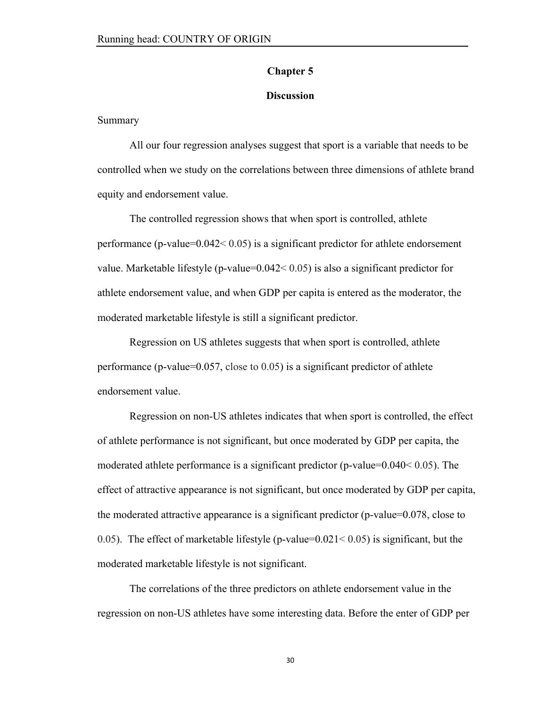#### **Chapter 5**

## **Discussion**

Summary

All our four regression analyses suggest that sport is a variable that needs to be controlled when we study on the correlations between three dimensions of athlete brand equity and endorsement value.

The controlled regression shows that when sport is controlled, athlete performance (p-value=0.042< 0.05) is a significant predictor for athlete endorsement value. Marketable lifestyle (p-value=0.042< 0.05) is also a significant predictor for athlete endorsement value, and when GDP per capita is entered as the moderator, the moderated marketable lifestyle is still a significant predictor.

Regression on US athletes suggests that when sport is controlled, athlete performance (p-value=0.057, close to 0.05) is a significant predictor of athlete endorsement value.

Regression on non-US athletes indicates that when sport is controlled, the effect of athlete performance is not significant, but once moderated by GDP per capita, the moderated athlete performance is a significant predictor (p-value=0.040< 0.05). The effect of attractive appearance is not significant, but once moderated by GDP per capita, the moderated attractive appearance is a significant predictor (p-value=0.078, close to 0.05). The effect of marketable lifestyle (p-value= $0.021 \le 0.05$ ) is significant, but the moderated marketable lifestyle is not significant.

The correlations of the three predictors on athlete endorsement value in the regression on non-US athletes have some interesting data. Before the enter of GDP per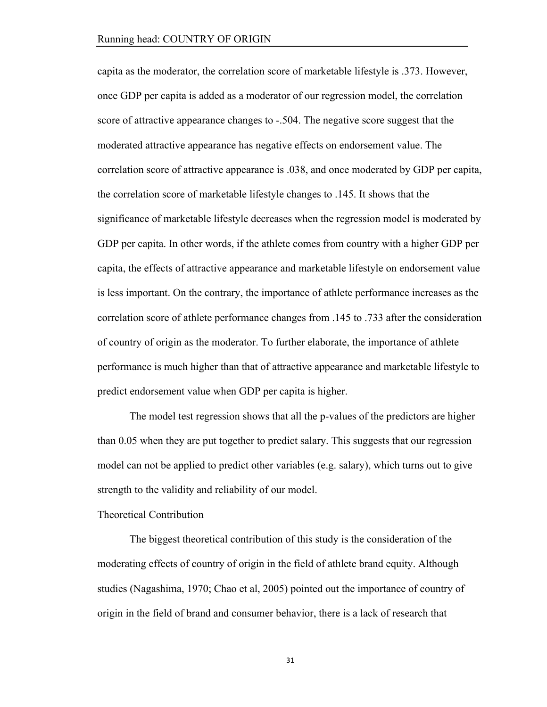capita as the moderator, the correlation score of marketable lifestyle is .373. However, once GDP per capita is added as a moderator of our regression model, the correlation score of attractive appearance changes to -.504. The negative score suggest that the moderated attractive appearance has negative effects on endorsement value. The correlation score of attractive appearance is .038, and once moderated by GDP per capita, the correlation score of marketable lifestyle changes to .145. It shows that the significance of marketable lifestyle decreases when the regression model is moderated by GDP per capita. In other words, if the athlete comes from country with a higher GDP per capita, the effects of attractive appearance and marketable lifestyle on endorsement value is less important. On the contrary, the importance of athlete performance increases as the correlation score of athlete performance changes from .145 to .733 after the consideration of country of origin as the moderator. To further elaborate, the importance of athlete performance is much higher than that of attractive appearance and marketable lifestyle to predict endorsement value when GDP per capita is higher.

The model test regression shows that all the p-values of the predictors are higher than 0.05 when they are put together to predict salary. This suggests that our regression model can not be applied to predict other variables (e.g. salary), which turns out to give strength to the validity and reliability of our model.

### Theoretical Contribution

The biggest theoretical contribution of this study is the consideration of the moderating effects of country of origin in the field of athlete brand equity. Although studies (Nagashima, 1970; Chao et al, 2005) pointed out the importance of country of origin in the field of brand and consumer behavior, there is a lack of research that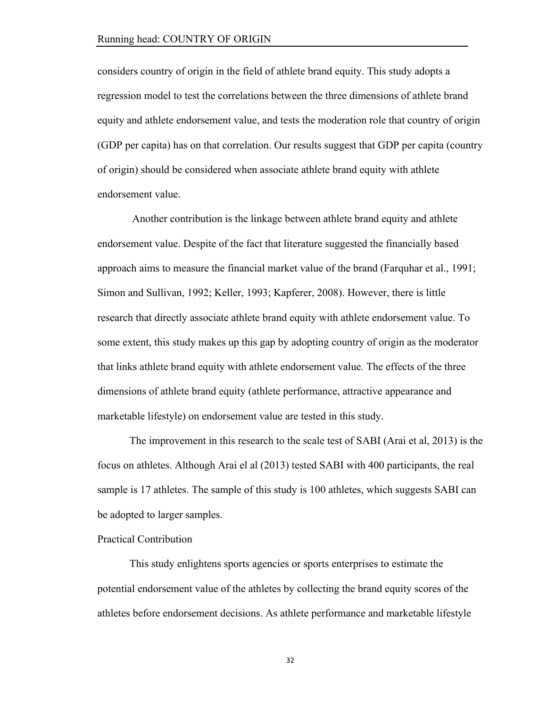considers country of origin in the field of athlete brand equity. This study adopts a regression model to test the correlations between the three dimensions of athlete brand equity and athlete endorsement value, and tests the moderation role that country of origin (GDP per capita) has on that correlation. Our results suggest that GDP per capita (country of origin) should be considered when associate athlete brand equity with athlete endorsement value.

Another contribution is the linkage between athlete brand equity and athlete endorsement value. Despite of the fact that literature suggested the financially based approach aims to measure the financial market value of the brand (Farquhar et al., 1991; Simon and Sullivan, 1992; Keller, 1993; Kapferer, 2008). However, there is little research that directly associate athlete brand equity with athlete endorsement value. To some extent, this study makes up this gap by adopting country of origin as the moderator that links athlete brand equity with athlete endorsement value. The effects of the three dimensions of athlete brand equity (athlete performance, attractive appearance and marketable lifestyle) on endorsement value are tested in this study.

The improvement in this research to the scale test of SABI (Arai et al, 2013) is the focus on athletes. Although Arai el al (2013) tested SABI with 400 participants, the real sample is 17 athletes. The sample of this study is 100 athletes, which suggests SABI can be adopted to larger samples.

# Practical Contribution

This study enlightens sports agencies or sports enterprises to estimate the potential endorsement value of the athletes by collecting the brand equity scores of the athletes before endorsement decisions. As athlete performance and marketable lifestyle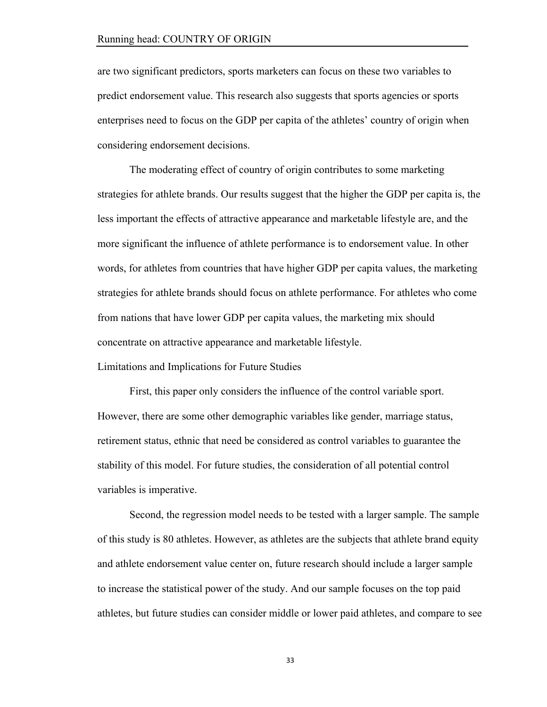are two significant predictors, sports marketers can focus on these two variables to predict endorsement value. This research also suggests that sports agencies or sports enterprises need to focus on the GDP per capita of the athletes' country of origin when considering endorsement decisions.

The moderating effect of country of origin contributes to some marketing strategies for athlete brands. Our results suggest that the higher the GDP per capita is, the less important the effects of attractive appearance and marketable lifestyle are, and the more significant the influence of athlete performance is to endorsement value. In other words, for athletes from countries that have higher GDP per capita values, the marketing strategies for athlete brands should focus on athlete performance. For athletes who come from nations that have lower GDP per capita values, the marketing mix should concentrate on attractive appearance and marketable lifestyle.

Limitations and Implications for Future Studies

First, this paper only considers the influence of the control variable sport. However, there are some other demographic variables like gender, marriage status, retirement status, ethnic that need be considered as control variables to guarantee the stability of this model. For future studies, the consideration of all potential control variables is imperative.

Second, the regression model needs to be tested with a larger sample. The sample of this study is 80 athletes. However, as athletes are the subjects that athlete brand equity and athlete endorsement value center on, future research should include a larger sample to increase the statistical power of the study. And our sample focuses on the top paid athletes, but future studies can consider middle or lower paid athletes, and compare to see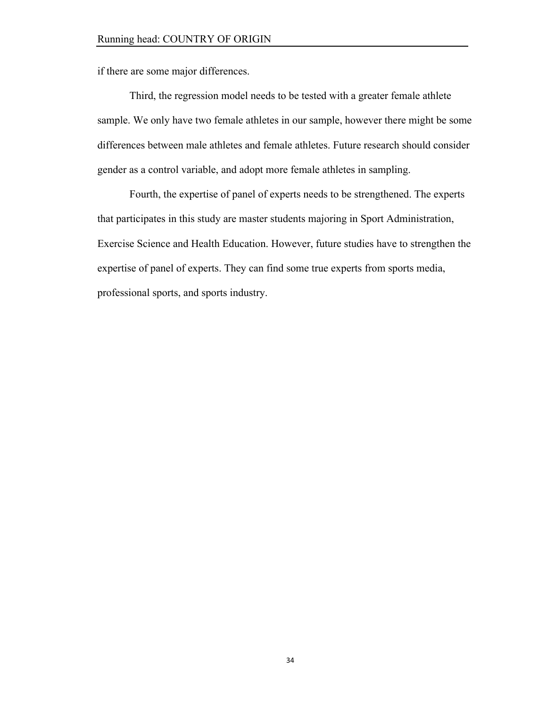if there are some major differences.

Third, the regression model needs to be tested with a greater female athlete sample. We only have two female athletes in our sample, however there might be some differences between male athletes and female athletes. Future research should consider gender as a control variable, and adopt more female athletes in sampling.

Fourth, the expertise of panel of experts needs to be strengthened. The experts that participates in this study are master students majoring in Sport Administration, Exercise Science and Health Education. However, future studies have to strengthen the expertise of panel of experts. They can find some true experts from sports media, professional sports, and sports industry.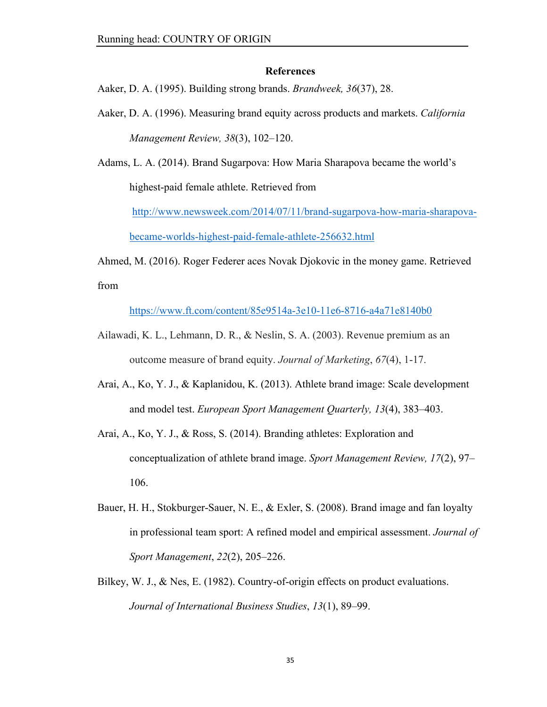#### **References**

Aaker, D. A. (1995). Building strong brands. *Brandweek, 36*(37), 28.

Aaker, D. A. (1996). Measuring brand equity across products and markets. *California Management Review, 38*(3), 102–120.

Adams, L. A. (2014). Brand Sugarpova: How Maria Sharapova became the world's highest-paid female athlete. Retrieved from

http://www.newsweek.com/2014/07/11/brand-sugarpova-how-maria-sharapova-

became-worlds-highest-paid-female-athlete-256632.html

Ahmed, M. (2016). Roger Federer aces Novak Djokovic in the money game. Retrieved

from

https://www.ft.com/content/85e9514a-3e10-11e6-8716-a4a71e8140b0

- Ailawadi, K. L., Lehmann, D. R., & Neslin, S. A. (2003). Revenue premium as an outcome measure of brand equity. *Journal of Marketing*, *67*(4), 1-17.
- Arai, A., Ko, Y. J., & Kaplanidou, K. (2013). Athlete brand image: Scale development and model test. *European Sport Management Quarterly, 13*(4), 383–403.
- Arai, A., Ko, Y. J., & Ross, S. (2014). Branding athletes: Exploration and conceptualization of athlete brand image. *Sport Management Review, 17*(2), 97– 106.
- Bauer, H. H., Stokburger-Sauer, N. E., & Exler, S. (2008). Brand image and fan loyalty in professional team sport: A refined model and empirical assessment. *Journal of Sport Management*, *22*(2), 205–226.
- Bilkey, W. J., & Nes, E. (1982). Country-of-origin effects on product evaluations. *Journal of International Business Studies*, *13*(1), 89–99.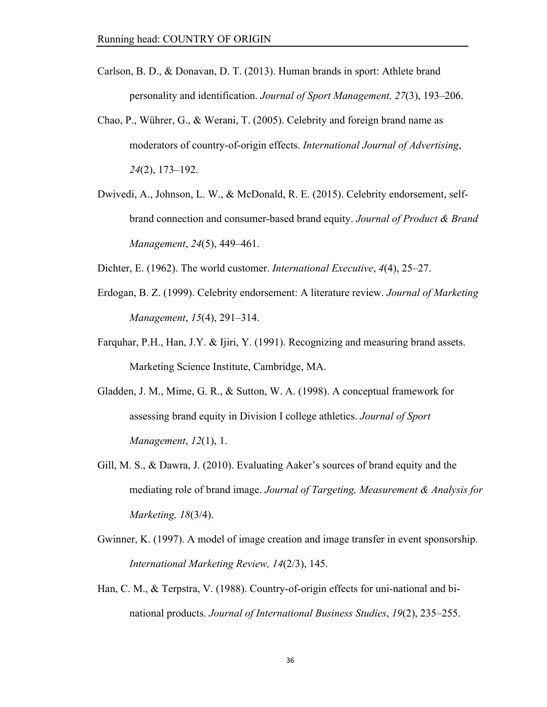- Carlson, B. D., & Donavan, D. T. (2013). Human brands in sport: Athlete brand personality and identification. *Journal of Sport Management, 27*(3), 193–206.
- Chao, P., Wührer, G., & Werani, T. (2005). Celebrity and foreign brand name as moderators of country-of-origin effects. *International Journal of Advertising*, *24*(2), 173–192.
- Dwivedi, A., Johnson, L. W., & McDonald, R. E. (2015). Celebrity endorsement, selfbrand connection and consumer-based brand equity. *Journal of Product & Brand Management*, *24*(5), 449–461.
- Dichter, E. (1962). The world customer. *International Executive*, *4*(4), 25–27.
- Erdogan, B. Z. (1999). Celebrity endorsement: A literature review. *Journal of Marketing Management*, *15*(4), 291–314.
- Farquhar, P.H., Han, J.Y. & Ijiri, Y. (1991). Recognizing and measuring brand assets. Marketing Science Institute, Cambridge, MA.
- Gladden, J. M., Mime, G. R., & Sutton, W. A. (1998). A conceptual framework for assessing brand equity in Division I college athletics. *Journal of Sport Management*, *12*(1), 1.
- Gill, M. S., & Dawra, J. (2010). Evaluating Aaker's sources of brand equity and the mediating role of brand image. *Journal of Targeting, Measurement & Analysis for Marketing, 18*(3/4).
- Gwinner, K. (1997). A model of image creation and image transfer in event sponsorship. *International Marketing Review, 14*(2/3), 145.
- Han, C. M., & Terpstra, V. (1988). Country-of-origin effects for uni-national and binational products. *Journal of International Business Studies*, *19*(2), 235–255.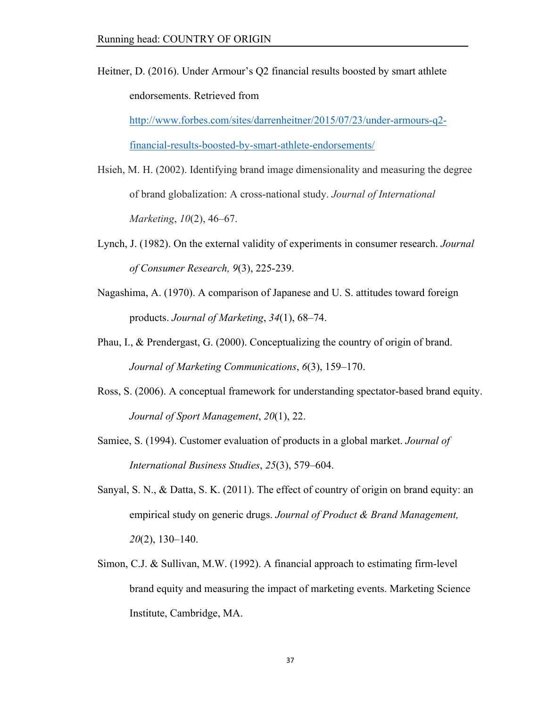Heitner, D. (2016). Under Armour's Q2 financial results boosted by smart athlete endorsements. Retrieved from

 http://www.forbes.com/sites/darrenheitner/2015/07/23/under-armours-q2 financial-results-boosted-by-smart-athlete-endorsements/

- Hsieh, M. H. (2002). Identifying brand image dimensionality and measuring the degree of brand globalization: A cross-national study. *Journal of International Marketing*, *10*(2), 46–67.
- Lynch, J. (1982). On the external validity of experiments in consumer research. *Journal of Consumer Research, 9*(3), 225-239.
- Nagashima, A. (1970). A comparison of Japanese and U. S. attitudes toward foreign products. *Journal of Marketing*, *34*(1), 68–74.
- Phau, I., & Prendergast, G. (2000). Conceptualizing the country of origin of brand. *Journal of Marketing Communications*, *6*(3), 159–170.
- Ross, S. (2006). A conceptual framework for understanding spectator-based brand equity. *Journal of Sport Management*, *20*(1), 22.
- Samiee, S. (1994). Customer evaluation of products in a global market. *Journal of International Business Studies*, *25*(3), 579–604.
- Sanyal, S. N., & Datta, S. K. (2011). The effect of country of origin on brand equity: an empirical study on generic drugs. *Journal of Product & Brand Management, 20*(2), 130–140.
- Simon, C.J. & Sullivan, M.W. (1992). A financial approach to estimating firm-level brand equity and measuring the impact of marketing events. Marketing Science Institute, Cambridge, MA.